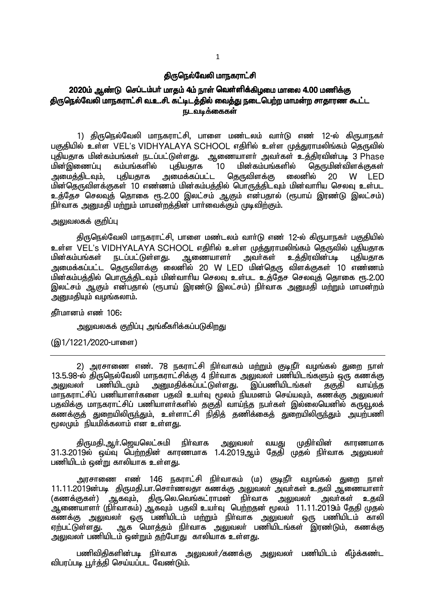#### திருநெல்வேலி மாநகராட்சி

# 2020ம் ஆண்டு செப்டம்பர் மாதம் 4ம் நாள் வெள்ளிக்கிழமை மாலை 4.00 மணிக்கு திருநெல்வேலி மாநகராட்சி வ.உ.சி. கட்டிடத்தில் வைத்து நடைபெற்ற மாமன்ற சாதாரண கூட்ட ௫டவடிக்கைகள்

1) திருநெல்வேலி மாநகராட்சி, பாளை மண்டலம் வாா்டு எண் 12-ல் கிருபாநகா் பகுதியில் உள்ள VEL's VIDHYALAYA SCHOOL எதிரில் உள்ள முத்துராமலிங்கம் தெருவில் புதியதாக மின்கம்பங்கள் நடப்பட்டுள்ளது. ஆணையாளர் அவர்கள் உத்திரவின்படி 3 Phase<br>மின்இணைப்பு கம்பங்களில் புதியதாக 10 மின்கம்பங்களில் கொுமின்விளக்குகள் ் புதியதாக (10 மின்கம்பங்களில் தெருமின்விளக்குகள்<br>அமைக்கப்பட்ட தெருவிளக்கு லைனில் 20 W LED அமைத்திடவும், புதியதாக அமைக்கப்பட்ட தெருவிளக்கு லைனில் 20 W LED மின்தெருவிளக்குகள் 10 எண்ணம் மின்கம்பத்தில் பொருத்திடவும் மின்வாரிய செலவு உள்பட உத்தேச செலவுத் தொகை ரூ.2.00 இலட்சம் ஆகும் என்பதால் (ரூபாய் இரண்டு இலட்சம்) நிர்வாக அனுமதி மற்றும் மாமன்றத்தின் பார்வைக்கும் முடிவிற்கும்.

## அலுவலகக் குறிப்ப

திருநெல்வேலி மாநகராட்சி, பாளை மண்டலம் வாா்டு எண் 12-ல் கிருபாநகா் பகுதியில் உள்ள VEL's VIDHYALAYA SCHOOL எதிரில் உள்ள முத்துராமலிங்கம் தெருவில் புதியதாக<br>மின்கம்பங்கள் நடப்பட்டுள்ளது. ஆணையாளர் அவர்கள் உத்திரவின்படி புதியதாக மின்கம்பங்கள் நடப்பட்டுள்ளது. ஆணையாளர் அவர்கள் உத்திரவின்படி புதியதாக அமைக்கப்பட்ட தெருவிளக்கு லைனில் 20 W LED மின்தெரு விளக்குகள் 10 எண்ணம் மின்கம்பத்தில் பொருத்திடவும் மின்வாரிய செலவு உள்பட உத்தேச செலவுத் தொகை ரூ.2.00 இலட்சம் ஆகும் என்பதால் (ரூபாய் இரண்டு இலட்சம்) நிர்வாக அனுமதி மற்றும் மாமன்றம் அனுமதியும் வழங்கலாம்.

 $f$ நீர்மானம் எண் $106$ :

அலுவலகக் குறிப்பு அங்கீகரிக்கப்படுகிறது

(இ1/1221/2020-பாளை)

2) அரசாணை எண். 78 நகராட்சி நிர்வாகம் மற்றும் குடிநீர் வழங்கல் துறை நாள் 13.5.98-y; jpUney;Ntyp khefuhl;rpf;F 4 epHthf mYtyH gzpaplq;fSk; xU fzf;F அனுமதிக்கப்பட்டுள்ளது. இப்பணியிடங்கள் தகுதி வாய்ந்த மாநகராட்சிப் பணியாளர்களை பதவி உயர்வு மூலம் நியமனம் செய்யவும், கணக்கு <u>அலு</u>வலர் பதவிக்கு மாநகராட்சிப் பணியாளா்களில் தகுதி வாய்ந்த நபா்கள் இல்லையெனில் காூவூலக் ்கணக்குத் துறையிலிரு<u>ந்து</u>ம், உள்ளாட்சி நிதித் தணிக்கைத் துறையிலிருந்தும் அயற்பணி  $f$ மூலமும் நியமிக்கலாம் என உள்ளது.

திருமதி,ஆர்.ஜெயலெட்சுமி நிர்வாக அலுவலர் வயது முதிர்வின் காரணமாக  $31.3.2019$ ல் ஒய்வு பெற்றதின் காரணமாக 1.4.2019ஆம் தேதி முதல் நிர்வாக அலுவலர் பணியிடம் ஒன்று காலியாக உள்ளது.

அரசாணை எண் 146 நகராட்சி நிர்வாகம் (ம) குடிநீர் வழங்கல் துறை நாள் 11.11.2019ன்படி திருமதி.பா.சொர்ணலதா கணக்கு அலுவலர் அவர்கள் உதவி ஆணையாளர் (கணக்குகள்) ஆகவும், திரு.லெ.வெங்கட்ராமன் நிர்வாக அலுவலர் அவர்கள் உதவி ஆணையாளர் (நிர்வாகம்) ஆகவும் பதவி உயர்வு பெற்றதன் மூலம் 11.11.2019ம் தேதி முதல் ்கணக்கு அலுவலா் ஒரு பணியிடம் மற்றும் நிா்வாக அலுவலா் ஒரு பணியிடம் காலி<br>எற்பட்டுள்ளது. அ.க மொக்கம் நிா்வாக அலுவலா் பணியிடங்கள் இாண்டும். கணக்கு <u>ஆக வொத்த</u>ம் நிர்வாக அலுவலர் பணியிடங்கள் இரண்டும். கணக்கு அலுவலர் பணியிடம் ஒன்றும் தற்போது காலியாக உள்ளகு.

பணிவிதிகளின்படி நிா்வாக அலுவலா்/கணக்கு அலுவலா் பணியிடம் கீழ்க்கண்ட விபரப்படி பூர்த்தி செய்யப்பட வேண்டும்.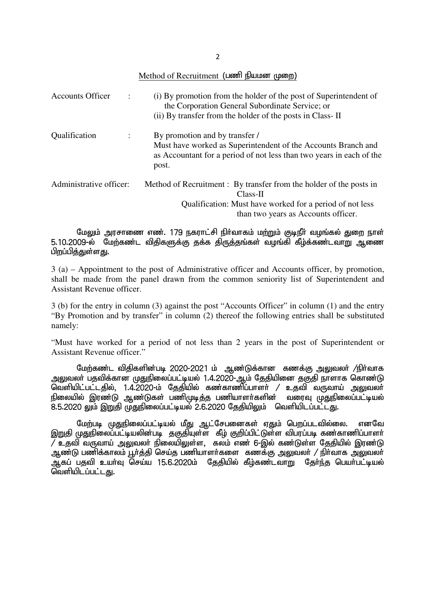| Method of Recruitment (பணி நியமன முறை) |  |  |
|----------------------------------------|--|--|
|----------------------------------------|--|--|

| <b>Accounts Officer</b><br>$\ddot{\cdot}$ | (i) By promotion from the holder of the post of Superintendent of<br>the Corporation General Subordinate Service; or<br>(ii) By transfer from the holder of the posts in Class-II  |
|-------------------------------------------|------------------------------------------------------------------------------------------------------------------------------------------------------------------------------------|
| Qualification<br>$\ddot{\cdot}$           | By promotion and by transfer /<br>Must have worked as Superintendent of the Accounts Branch and<br>as Accountant for a period of not less than two years in each of the<br>post.   |
| Administrative officer:                   | Method of Recruitment : By transfer from the holder of the posts in<br>Class-II<br>Qualification: Must have worked for a period of not less<br>than two years as Accounts officer. |

மேலும் அரசாணை எண். 179 நகராட்சி நிர்வாகம் மற்றும் குடிநீர் வழங்கல் துறை நாள் 5.10.2009-ல் மேற்கண்ட விதிகளுக்கு தக்க திருத்தங்கள் வழங்கி கீழ்க்கண்டவாறு ஆணை பிறப்பித்துள்ளது.

3 (a) – Appointment to the post of Administrative officer and Accounts officer, by promotion, shall be made from the panel drawn from the common seniority list of Superintendent and Assistant Revenue officer.

3 (b) for the entry in column (3) against the post "Accounts Officer" in column (1) and the entry "By Promotion and by transfer" in column (2) thereof the following entries shall be substituted namely:

"Must have worked for a period of not less than 2 years in the post of Superintendent or Assistant Revenue officer."

மேற்கண்ட விதிகளின்படி 2020-2021 ம் ஆண்டுக்கான கணக்கு அலுவலர் /நிர்வாக அலுவலா் பதவிக்கான முதுநிலைப்பட்டியல் 1.4.2020-ஆம் தேதியினை தகுதி நாளாக கொண்டு வெளியிட்பட்டதில், 1.4.2020-ம் தேதியில் கண்காணிப்பாளர் / உதவி வருவாய் அலுவலர் .<br>நிலையில் இரண்டு ஆண்டுகள் பணிமுடித்த பணியாளர்களின் வரைவு முதுநிலைப்பட்டியல் 8.5.2020 லும் இறுதி முதுநிலைப்பட்டியல் 2.6.2020 தேதியிலும் வெளியிடப்பட்டது.

மேற்படி முதுநிலைப்பட்டியல் மீது ஆட்சேபனைகள் ஏதும் பெறப்படவில்லை. எனவே இறுதி முதுநிலைப்பட்டியலின்படி தகுதியுள்ள கீழ் குறிப்பிட்டுள்ள விபரப்படி கண்காணிப்பாளா்  $\widetilde{Z}$  உதவி வருவாய் அலுவலா் நிலையிலுள்ள, கலம் எண 6-இல் கண்டுள்ள தேதியில் இரண்டு அண்டு பணிக்காலம் பூர்த்தி செய்த பணியாளர்களை கணக்கு <u>அலு</u>வலர் / நிர்வாக அலுவலர் ்து கப் பதவி உயர்வு செய்ய 15.6.2020ம் தேதியில் கீழ்கண்டவாறு தேர்ந்த பெயர்பட்டியல் வெளியிடப்பட்டகு.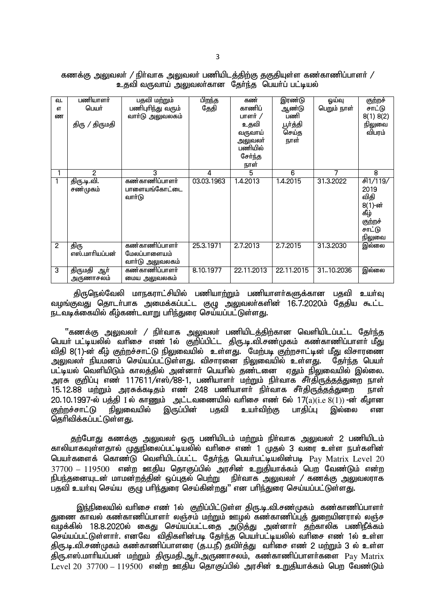| கணக்கு அலுவலா் / நிா்வாக அலுவலா் பணியிடத்திற்கு தகுதியுள்ள கண்காணிப்பாளா் / |                                                 |  |  |
|-----------------------------------------------------------------------------|-------------------------------------------------|--|--|
|                                                                             | உதவி வருவாய் அலுவலா்கான தோ்ந்த பெயா்ப் பட்டியல் |  |  |

| வ.             | பணியாளர்       | பதவி மற்றும்      | பிறந்த     | கண்        | இரண்டு     | ஓய்வு       | குற்றச்         |
|----------------|----------------|-------------------|------------|------------|------------|-------------|-----------------|
| <b>бТ</b>      | பெயர்          | பணிபுரிந்து வரும் | தேதி       | காணிப்     | ஆண்டு      | பெறும் நாள் | சாட்டு          |
| ண              |                | வார்டு அலுவலகம்   |            | பாளர் /    | பணி        |             | 8(1) 8(2)       |
|                | திரு / திருமதி |                   |            | உதவி       | பூர்த்தி   |             | நிலுவை          |
|                |                |                   |            | வருவாய்    | செய்த      |             | விபரம்          |
|                |                |                   |            | அலுவலா்    | நாள்       |             |                 |
|                |                |                   |            | பணியில்    |            |             |                 |
|                |                |                   |            | சேர்ந்த    |            |             |                 |
|                |                |                   |            | நாள்       |            |             |                 |
|                | 2              | 3                 | 4          | 5          | 6          | 7           | 8               |
|                | திரு.டி.வி.    | கண்காணிப்பாளர்    | 03.03.1963 | 1.4.2013   | 1.4.2015   | 31.3.2022   | <b>சி1/119/</b> |
|                | சண்முகம்       | பாளையங்கோட்டை     |            |            |            |             | 2019            |
|                |                | வார்டு            |            |            |            |             | விதி            |
|                |                |                   |            |            |            |             | 8(1)-ன்         |
|                |                |                   |            |            |            |             | கீழ்            |
|                |                |                   |            |            |            |             | குற்றச்         |
|                |                |                   |            |            |            |             | சாட்டு          |
|                |                |                   |            |            |            |             | நிலுவை          |
| $\overline{2}$ | திரு           | கண்காணிப்பாளர்    | 25.3.1971  | 2.7.2013   | 2.7.2015   | 31.3.2030   | இல்லை           |
|                | எஸ்.மாரியப்பன் | மேலப்பாளையம்      |            |            |            |             |                 |
|                |                | வாா்டு அலுவலகம்   |            |            |            |             |                 |
| 3              | திருமதி<br>ஆர் | கண்காணிப்பாளர்    | 8.10.1977  | 22.11.2013 | 22.11.2015 | 31.10.2036  | இல்லை           |
|                | அருணாசலம்      | மைய அலுவலகம்      |            |            |            |             |                 |

திருநெல்வேலி மாநகராட்சியில் பணியாற்றும் பணியாளர்களுக்கான பதவி உயர்வு வழங்குவது தொடர்பாக அமைக்கப்பட்ட குழு அலுவலர்களின் 16.7.2020ம் தேதிய கூட்ட நடவடிக்கையில் கீழ்கண்டவாறு பரிந்துரை செய்யப்பட்டுள்ளது.

"கணக்கு <u>அலு</u>வலா் / நிா்வாக அலுவலா் பணியிடத்திற்கான வெளியிடப்பட்ட தோ்ந்த பெயர் பட்டியலில் வரிசை எண் 1ல் குறிப்பிட்ட திரு.டி.வி.சண்முகம் கண்காணிப்பாளர் மீது விகி 8(1)-ன் கீம் குற்றச்சாட்டு நிலுவையில் உள்ளது. மேற்படி குற்றசாட்டின் மீது விசாரணை அலுவலா் நியமனம் செய்யப்பட்டுள்ளது. விசாரணை நிலுவையில் உள்ளது. கோ்ந்த பெயா் பட்டியல் வெளியிடும் காலத்தில் அன்னாா் பெயாில் தண்டனை ஏதும் நிலுவையில் இல்லை. அரசு குறிப்பு எண் 117611/எஸ்788-1, பணியாளா் மற்றும் நிா்வாக சீா்திருத்தத்துறை நாள் 15.12.88 kw;Wk; muRf;fbjk; vz; 248 gzpahsh; eph;thf rPh;jpUj;jj;Jiw ehs;  $20.10.1997$ -ல் பத்தி I ல் காணும் அட்டவணையில் வாிசை எண ்6ல்  $17(a)$ ( $i.e$   $8(\overline{1})$ ) -ன் கீழான<br>குற்றச்சாட்டு நிலுவையில் இருப்பின் பதவி உயாவிற்கு பாதிப்பு இல்லை என குற்றச்சாட்டு நிலுவையில் இருப்பின் பதவி உயர்விற்கு பாதிப்பு இல்லை என தெரிவிக்கப்பட்டுள்ளது.

தற்போது கணக்கு அலுவலர் ஒரு பணியிடம் மற்றும் நிர்வாக அலுவலர் 2 பணியிடம் காலியாகவுள்ளதால் முதுநிலைப்பட்டியலில் வரிசை எண் 1 முதல் 3 வரை உள்ள நபர்களின் பெயர்களைக் கொண்டு வெளியிடப்பட்ட தேர்ந்த பெயர்பட்டியலின்படி Pay Matrix Level 20  $37700 - 119500$  என்ற ஊதிய தொகுப்பில் அரசின் உறுதியாக்கம் பெற வேண்டும் என்ற .<br>நிபந்தனையுடன் மாமன்றத்தின் ஓப்புதல் பெற்று நிர்வாக அலுவலர் / கணக்கு அலுவலராக .<br>பதவி உயர்வு செய்ய குழு பரிந்துரை செய்கின்றது" என பரிந்துரை செய்யப்பட்டுள்ளது.

இந்நிலையில் வரிசை எண் 1ல் குறிப்பிட்டுள்ள திரு.டி.வி.சண்முகம் கண்காணிப்பாளர் குறண தாவல் கண்காணிப்பாளர் லஞ்சம் மற்றும் ஊமல் கண்காணிப்பக் குறையினாால் லஞ்ச ்வழக்கில் 18.8.2020ல் கைது செய்யப்பட்டதை அடுத்து அன்னாா் தற்காலிக பணிநீக்கம் .<br>செய்யப்பட்டுள்ளார். எனவே விதிகளின்படி தேர்ந்த பெயர்பட்டியலில் வரிசை எண் 1ல் உள்ள திரு.டி.வி.சண்முகம் கண்காணிப்பாளரை (த.ப.நீ) தவிர்த்து வரிசை எண் 2 மற்றும் 3 ல் உள்ள திரு.எஸ்.மாரியப்பன் மற்றும் திருமதி.ஆர்.அருணாசலம், கண்காணிப்பாளர்களை  $\rm P_{\rm av}$   $\rm{Matrix}$  $Level$  20 37700 – 119500 என்ற ஊகிய கொகுப்பில் அாசின் உறுகியாக்கம் பெற வேண்டும்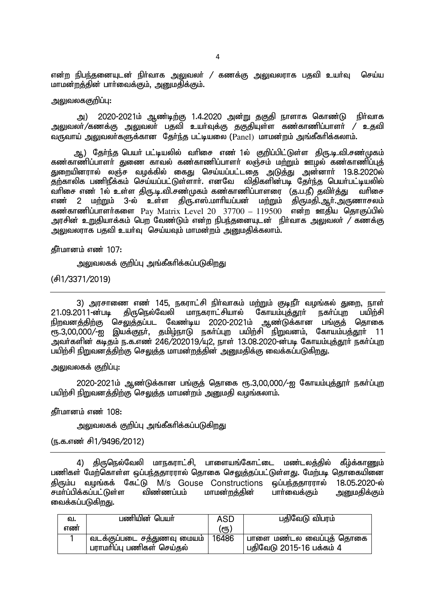என்ற நிபந்தனையுடன் நிா்வாக அலுவலா் / கணக்கு அலுவலராக பதவி உயா்வு செய்ய மாமன்றத்தின் பார்வைக்கும், அனுமதிக்கும்.

### அலுவலககுறிப்பு:

அ) 2020-2021ம் ஆண்டிற்கு 1.4.2020 அன்று தகுதி நாளாக கொண்டு நிர்வாக அலுவலர்/கணக்கு <u>அலு</u>வலர் பதவி உயர்வுக்கு தகுதியுள்ள கண்காணிப்பாளர் / உதவி வருவாய் அலுவலா்களுக்கான தோ்ந்த பட்டியலை (Panel) மாமன்றம் அங்கீகாிக்கலாம்.

ஆ) தேர்ந்த பெயர் பட்டியலில் வரிசை எண் 1ல் குறிப்பிட்டுள்ள திரு.டி.வி.சண்முகம் ்கண்காணிப்பாளர் துணை காவல் கண்காணிப்பாளர் லஞ்சம் மற்றும் ஊழல் கண்காணிப்புத் துறையினரால் லஞ்ச வழக்கில் கைது செய்யப்பட்டதை அடுத்து அன்னாா் 19.8.2020ல் தற்காலிக பணிநீக்கம் செய்யப்பட்டுள்ளாா். எனவே விதிகளின்படி தோ்ந்த பெயா்பட்டியலில் ்வரிசை எண் 1ல் உள்ள திரு.டி.வி.சண்முகம் கண்காணிப்பாளரை (த.ப.நீ) தவிர்த்து வரிசை எண் 2 மற்றும் 3-ல் உள்ள திரு.எஸ்.மாரியப்பன் மற்றும் திருமதி.ஆர்.அருணாசலம் கண்காணிப்பாளர்களை Pay Matrix Level 20  $37700 - 119500$  என்ற ஊதிய தொகுப்பில் அரசின் உறுதியாக்கம் பெற<sup>்</sup>வேண்டும் என்ற நிபந்தனையுடன் நிர்வாக அலுவலர் / கணக்கு அலுவலராக பதவி உயர்வு செய்யவும் மாமன்றம் அறுமதிக்கலாம்.

#### $f$ நீர்மானம் எண் $107$ :

அலுவலகக் குறிப்பு அங்கீகரிக்கப்படுகிறது

(rp1/3371/2019)

3) அரசாணை எண் 145, நகராட்சி நிர்வாகம் மற்றும் குடிநீர் வழங்கல் துறை, நாள் 21.09.2011-ன்படி திருநெல்வேலி மாநகராட்சியால் கோயம்புத்தூர் நகர்ப்புற பயிற்சி நிறவனத்திற்கு செலுத்தப்பட வேண்டிய 2020-2021ம் ஆண்டுக்கான பங்குத் தொகை ரூ.3,00,000/-ஐ இயக்குநா், தமிழ்நாடு நகா்ப்புற பயிற்சி நிறுவனம், கோயம்பத்தூா் 11 அவர்களின் கடிதம் ந.க.எண் 246/202019/யு2, நாள் 13.08.2020-ன்படி கோயம்புத்தூர் நகர்ப்புற பயிற்சி நிறுவனத்திற்கு செலுத்த மாமன்றத்தின் அனுமதிக்கு வைக்கப்படுகிறது.

## அலுவலகக் குறிப்பு:

2020-2021ம் ஆண்டுக்கான பங்குத் தொகை ரூ.3,00,000/-ஐ கோயம்புத்தூர் நகர்ப்புற பயிற்சி நிறுவனத்திற்கு செலுத்த மாமன்றம் அனுமதி வழங்கலாம்.

#### $f$ நீர்மானம் எண் $108$ :

அலுவலகக் குறிப்பு அங்கீகரிக்கப்படுகிறது

(ந.க.எண் சி1/9496/2012)

4) திருநெல்வேலி மாநகராட்சி, பாளையங்கோட்டை மண்டலத்தில் கீழ்க்காணும் பணிகள் மேற்கொள்ள ஒப்பந்ததாரரால் தொகை செலுத்தப்பட்டுள்ளது. மேற்படி தொகையினை திரும்ப வழங்கக் கேட்டு M/s Gouse Constructions ஒப்பந்ததாரரால் 18.05.2020-ல்<br>சமா்ப்பிக்கப்பட்டுள்ள விண்ணப்பம் மாமன்றத்தின் பாா்வைக்கும் அனுமதிக்கும் .<br>சமா்ப்பிக்கப்பட்டுள்ள விண்ணப்பம் மாமன்றத்தின் பாா்வைக்கும் அறுமதிக்கும் வைக்கப்படுகிறது.

| வ.  | பணியின் பெயர்              | <b>ASD</b> | பதிவேடு விபரம்             |
|-----|----------------------------|------------|----------------------------|
| எண் |                            | (ரூ)       |                            |
|     | வடக்குப்படை சத்துணவு மையம் | 16486      | ' பாளை மண்டல வைப்புத் தொகை |
|     | பராமரிப்பு பணிகள் செய்கல்  |            | பதிவேடு 2015-16 பக்கம் 4   |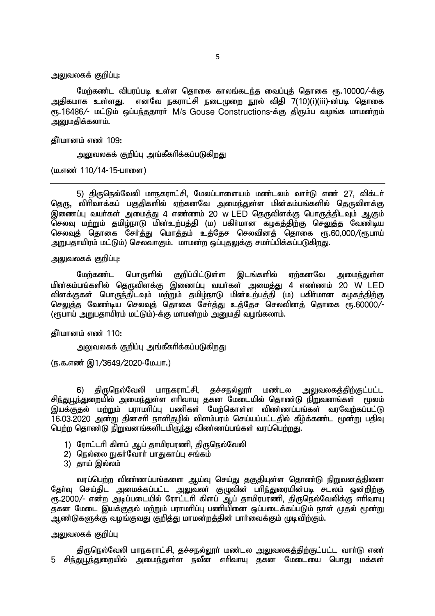அலுவலகக் குறிப்பு:

மேற்கண்ட விபரப்படி உள்ள தொகை காலங்கடந்த வைப்புத் தொகை ரூ.10000/-க்கு அதிகமாக உள்ளது. எனவே நகராட்சி நடைமுறை நூல் விதி 7(10)(i)(iii)-ன்படி தொகை ரூ.16486/- மட்டும் ஒப்பந்ததாரர் M/s Gouse Constructions-க்கு திரும்ப வழங்க மாமன்றம் அறைமகிக்கலாம்.

தீர்மானம் எண் 109:

அலுவலகக் குறிப்பு அங்கீகரிக்கப்படுகிறது

(ம.எண் 110/14-15-பாளை)

5) திருநெல்வேலி மாநகராட்சி, மேலப்பாளையம் மண்டலம் வார்டு எண் 27, விக்டர் தெரு, விரிவாக்கப் பகுதிகளில் ஏற்கனவே அமைந்துள்ள மின்கம்பங்களில் தெருவிளக்கு இணைப்பு வயர்கள் அமைத்து 4 எண்ணம் 20 w LED தெருவிளக்கு பொருத்திடவும் ஆகும் .<br>செலவு மற்றும் தமிழ்நாடு மின்உற்பத்தி (ம) பகிா்மான கழகத்திற்கு செ<u>லு</u>த்த வேண்டிய செலவுத் தொகை சேர்த்து மொத்தம் உத்தேச செலவினத் தொகை ரூ.60,000/(ரூபாய் அறுபதாயிரம் மட்டும்) செலவாகும். மாமன்ற ஒப்புதலுக்கு சமா்ப்பிக்கப்படுகிறது.

அலுவலகக் குறிப்பு:

மேற்கண்ட பொருளில் குறிப்பிட்டுள்ள இடங்களில் ஏற்கனவே அமைந்துள்ள <u>மின்கம்பங்களில் தெருவிளக்கு இணைப்பு வயர்கள் அமைத்து 4 எண்ணம் 20 W LED</u> <u>விளக்குகள் பொருந்திடவும் மற்றும் தமிழ்நாடு மின்உற்பத்தி (ம) பகிர்மான கழகத்திற்கு</u> مست المستقل المستقل المستقل المستقل المستقل المستقل المستقل المستقل المستقلة المستقلة .<br>பேசலுத்த வேண்டிய செலவுத் தொகை சேர்த்து உத்தேச செலவினத் தொகை ரூ.60000 (ரூபாய் அறுபதாயிரம் மட்டும்)-க்கு மாமன்றம் அறைமதி வழங்கலாம்.

கீர்மானம் எண் $110:$ 

அலுவலகக் குறிப்பு அங்கீகரிக்கப்படுகிறது

(ந.க.எண் இ1/3649/2020-மே.பா.)

6) திருநெல்வேலி மாநகராட்சி, தச்சநல்லூா் மண்டல அலுவலகத்திற்குட்பட்ட <u>சிந்துபூந்துறையில் அமைந்து</u>ள்ள எாிவாயு தகன மேடையில் தொண்டு நிறுவனங்கள் மூலம் இயக்குதல் மற்றும் பராமரிப்பு பணிகள் மேற்கொள்ள விண்ணப்பங்கள் வரவேற்கப்பட்டு .<br>16.03.2020 அன்று தினசரி நாளிதமில் விளம்பரம் செய்யப்பட்டதில் கீழ்க்கண்ட மூன்று பதிவு பெற்ற தொண்டு நிறுவனங்களிடமிருந்து விண்ணப்பங்கள் வரப்பெற்றது.

- 1) ரோட்டரி கிளப் ஆப் தாமிரபரணி, திருநெல்வேலி
- 2) நெல்லை நுகர்வோர் பாதுகாப்பு சங்கம்
- $3)$  காய் இல்லம்

வரப்பெற்ற விண்ணப்பங்களை ஆய்வு செய்து தகுதியுள்ள தொண்டு நிறுவனத்தினை தோ்வு செய்திட அமைக்கப்பட்ட அலுவலா் குழுவின் பாிந்துரையின்படி சடலம் ஒன்றிற்கு ரூ. 2000/- என்ற அடிப்படையில் ரோட்டரி கிளப் ஆப் தாமிரபரணி, திருநெல்வேலிக்கு எரிவாயு ்த்தன் மேடை இயக்குதல் மற்றும் பராமரிப்பு பணியினை ஒப்படைக்கப்படும் நாள் முதல் மூன்று .<br>அண்டுகளுக்கு வழங்குவது குறித்து மாமன்றத்தின் பார்வைக்கும் முடிவிற்கும்.

அலுவலகக் குறிப்பு

திருநெல்வேலி மாநகராட்சி, தச்சநல்லூர் மண்டல அலுவலகத்திற்குட்பட்ட வார்டு எண் <u>5 சிந்துபூந்துறையில் அமைந்து</u>ள்ள நவீன எரிவாயு தகன மேடையை பொது மக்கள்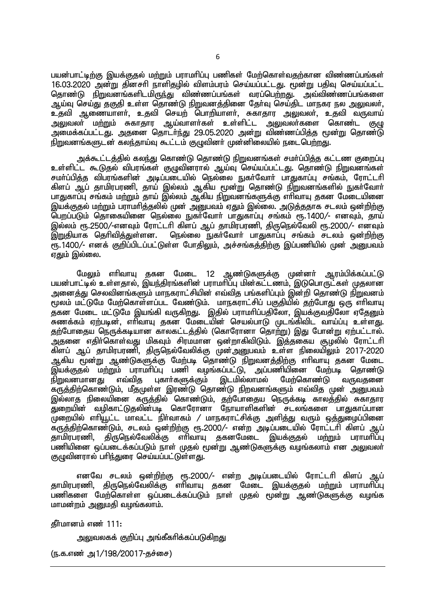பயன்பாட்டிற்கு இயக்குதல் மற்றும் பராமரிப்பு பணிகள் மேற்கொள்வதற்கான விண்ணப்பங்கள்  $16.03.2020$  அன்று தினசரி நாளிதமில் விளம்பரம் செய்யப்பட்டது. மூன்று பதிவு செய்யப்பட்ட தொண்டு நிறுவனங்களிடமிருந்து விண்ணப்பங்கள் வரப்பெற்றது. அவ்விண்ணப்பங்களை <u>ஆய்வு செய்து தகுதி உள்ள தொண்டு நிறுவனத்தி</u>னை தேர்வு செய்திட மாநகர நல <u>அலு</u>வலர், உதவி ஆணையாளர், உதவி செயற் பொறியாளர், சுகாதார அலுவலர், உதவி வருவாய் அலுவலா் மற்றும் சுகாதார ஆய்வாளா்கள் உள்ளிட்ட <u>அலு</u>வலா்களை கொண்ட குமு <u>அ</u>மைக்கப்பட்டது. அதனை தொடர்ந்து 29.05.2020 அன்று விண்ணப்பித்த மூன்று தொண்டு நிறுவனங்களுடன் கலந்தாய்வு கூட்டம் குழுவினர் முன்னிலையில் நடைபெற்றது.

அக்கூட்டத்தில் கலந்து கொண்டு தொண்டு நிறுவனங்கள் சமர்ப்பித்த கட்டண குறைப்பு உள்ளிட்ட கூடுதல் விபரங்கள் குழுவினரால் ஆய்வு செய்யப்பட்டது. தொண்டு நிறுவனங்கள் சமா்ப்பித்த விபரங்களின் அடிப்படையில் நெல்லை நுகா்வோா் பாதுகாப்பு சங்கம், ரோட்டாி கிளப் ஆப் தாமிரபரணி, தாய் இல்லம் ஆகிய மூன்று தொண்டு நிறுவனங்களில் நுகா்வோா் பாதுகாப்பு சங்கம் மற்றும் தாய் இல்லம் ஆகிய நிறுவனங்களுக்கு எரிவாயு தகன மேடையினை இயக்குதல் மற்றும் பராமரித்தலில் முன் அனுபவம் ஏதும் இல்லை. அடுத்ததாக சடலம் ஒன்றிற்கு பெறப்படும் தொகையினை நெல்லை நுகா்வோா் பாதுகாப்பு சங்கம் ரூ.1400/- எனவும். தாய் இல்லம் ரூ.2500/-எனவும் ரோட்டரி கிளப் ஆப் தாமிரபரணி, திருநெல்வேலி ரூ.2000/- எனவும்<br>இறுதியாக தெரிவித்துள்ளன. நெல்லை நுகர்வோர் பாதுகாப்பு சங்கம் சடலம் ஒன்றிற்கு நெல்லை நுகர்வோர் பாதுகாப்பு சங்கம் சடலம் ஒன்றிற்கு  $\widetilde{\mathfrak{e}}$ ந. 1400/- எனக் குறிப்பிடப்பட்டுள்ள போதிலும், அச்சங்கத்திற்கு இப்பணியில் முன் அனுபவம் எகும் இல்லை.

மேலும் எாிவாயு தகன மேடை 12 ஆண்டுகளுக்கு முன்னா் ஆரம்பிக்கப்பட்டு பயன்பாட்டில் உள்ளதால், இயந்திரங்களின் பராமாிப்பு மின்கட்டணம், இடுபொருட்கள் முதலான அனைக்கு செலவினங்களும் மாநகராட்சியின் எவ்வித பங்களிப்பும் இன்றி கொண்டு நிறுவனம் மூலம் மட்டுமே மேற்கொள்ளப்பட வேண்டும். மாநகராட்சிப் பகுதியில் தற்போது ஒரு எரிவாயு ,<br>தகன மேடை மட்டுமே இயங்கி வருகிறது. இதில் பராமரிப்பதிலோ, இயக்குவதிலோ ஏதேனும் சுணக்கம் ஏற்படின், எரிவாயு தகன மேடையின் செயல்பாடு முடங்கிவிட வாய்ப்பு உள்ளது. <u>தற்</u>போதைய நெருக்கடியான காலகட்டத்தில் (கொரோனா தொற்று) இது போன்று ஏற்பட்டால். ் அதனை எதிர்கொள்வது மிகவும் சிரமமான ஒன்றாகிவிடும். இத்தகைய சூழலில் ரோட்டரி ்கிளப் ஆப் தாமிரபரணி, திருநெல்வேலிக்கு முன்அறையவம் உள்ள நிலையிலும் 2017-2020 <u>ஆகிய மூன்று ஆண்டுகளுக்கு மேற்படி தொண்டு நிறுவனத்திற்கு</u> எரிவாயு தகன மேடை இயக்குதல் மற்றும் பராமாிப்பு பணி வழங்கப்பட்டு, அப்பணியினை மேற்படி தொண்டு<br>நிறுவனமானது எவ்வித புகாா்களுக்கும் இடமில்லாமல் மேற்கொண்டு வருவகனை புகார்களுக்கும் .<br>கருத்திற்கொண்டும், மீதமுள்ள இரண்டு தொண்டு நிறவனங்களும் எவ்வித முன் அறைபவம் இல்லாத நிலையினை கருத்தில் கொண்டும், தற்போதைய நெருக்கடி காலத்தில் சுகாதார .<br>துறையின் வழிகாட்டுதலின்படி கொரோனா நோயாளிகளின் சடலங்களை பாதுகாப்பான முறையில் எரியூட்ட மாவட்ட நிர்வாகம் / மாநகராட்சிக்கு அளித்து வரும் ஒத்துழைப்பினை கருத்திற்கொண்டும், சடலம் ஒன்றிற்கு ரூ.2000/- என்ற அடிப்படையில் ரோட்டரி கிளப் ஆப் காமிரபரணி, திருநெல்வேலிக்கு எாிவாயு தகனமேடை இயக்குதல் மற்றும் பராமாிப்பு பணியினை ஒப்படைக்கப்படும் நாள் முதல் மூன்று ஆண்டுகளுக்கு வழங்கலாம் என அலுவலா் குழுவினரால் பரிந்துரை செய்யப்பட்டுள்ளது.

எனவே சடலம் ஒன்றிற்கு ரூ.2000/- என்ற அடிப்படையில் ரோட்டரி கிளப் ஆப் தாமிரபரணி, திருநெல்வேலிக்கு எரிவாயு தகன மேடை இயக்குதல் ம<u>ற்று</u>ம் பராமரிப்பு பணிகளை மேற்கொள்ள ஒப்படைக்கப்படும் நாள் முதல் மூன்று ஆண்டுகளுக்கு வழங்க மாமன்றம் அறைமதி வழங்கலாம்.

 $f$ நீர்மானம் எண் 111:

அலுவலகக் குறிப்பு அங்கீகரிக்கப்படுகி<u>றத</u>ு

(ந.க.எண் அ $1/198/20017$ -தச்சை)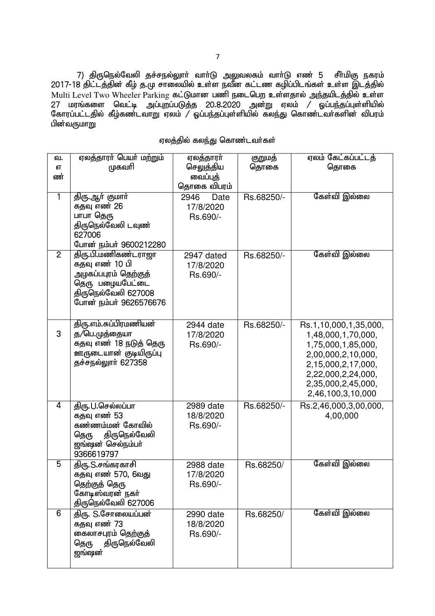7) திருநெல்வேலி தச்சநல்லூாா் வாா்டு அலுவலகம் வாா்டு எண் 5 சீா்மிகு நகரம் 2017-18 திட்டத்தின் கீழ் த.மு சாலையில் உள்ள நவீன கட்டண கழிப்பிடங்கள் உள்ள இடத்தில் Multi Level Two Wheeler Parking fl;Lkhd gzp eilngw cs;sjhy; me;japlj;jpy; cs;s 27 மரங்களை வெட்டி அப்புறப்படுத்த 20.8.2020 அன்று ஏலம் / ஓப்பந்தப்புள்ளியில் Nfhug;gl;ljpy; fPo;fz;lthW Vyk; / Xg;ge;jg;Gs;spapy; fye;J nfhz;lth;fspd; tpguk; பின்வருமாறு

| ஏலத்தில் கலந்து கொண்டவா்கள் |  |  |
|-----------------------------|--|--|
|                             |  |  |

| வ.<br><b>бТ</b><br>ண்<br>$\overline{1}$ | ஏலத்தாரா் பெயா் மற்றும்<br>முகவரி<br>திரு.ஆா் குமாா்                                                                              | ஏலத்தாரர்<br>செலுத்திய<br>வைப்புத்<br>தொகை விபரம்<br>2946<br>Date | குறுமத்<br>தொகை<br>Rs.68250/- | ஏலம் கேட்கப்பட்டத்<br>தொகை<br>கேள்வி இல்லை                                                                                                                                     |
|-----------------------------------------|-----------------------------------------------------------------------------------------------------------------------------------|-------------------------------------------------------------------|-------------------------------|--------------------------------------------------------------------------------------------------------------------------------------------------------------------------------|
|                                         | கதவு எண் 26<br>பாபா தெரு<br>திருநெல்வேலி டவுண்<br>627006<br>போன் நம்பர் 9600212280                                                | 17/8/2020<br>Rs.690/-                                             |                               |                                                                                                                                                                                |
| $\overline{2}$                          | திரு.பி.மணிகண்டராஜா<br>கதவு எண் 10 பி<br>அழகப்பபுரம் தெற்குத்<br>தெரு பழையபேட்டை<br>திருநெல்வேலி 627008<br>போன் நம்பர் 9626576676 | 2947 dated<br>17/8/2020<br>Rs.690/-                               | Rs.68250/-                    | கேள்வி இல்லை                                                                                                                                                                   |
| 3                                       | திரு.எம்.சுப்பிரமணியன்<br>த/பெ.முத்தையா<br>கதவு எண் 18 நடுத் தெரு<br>ஊருடையான் குடியிருப்பு<br>தச்சநல்லூர் 627358                 | 2944 date<br>17/8/2020<br>Rs.690/-                                | Rs.68250/-                    | Rs.1,10,000,1,35,000,<br>1,48,000,1,70,000,<br>1,75,000,1,85,000,<br>2,00,000,2,10,000,<br>2,15,000,2,17,000,<br>2,22,000,2,24,000,<br>2,35,000,2,45,000,<br>2,46,100,3,10,000 |
| 4                                       | திரு.U.செல்லப்பா<br>கதவு எண் 53<br>கண்ணம்மன் கோவில்<br>திருநெல்வேலி<br>தெரு<br>ஜங்ஷன் செல்நம்பர்<br>9366619797                    | 2989 date<br>18/8/2020<br>Rs.690/-                                | Rs.68250/-                    | Rs.2,46,000,3,00,000,<br>4,00,000                                                                                                                                              |
| 5                                       | திரு.S.சங்கரகாசி<br>கதவு எண் 570, 6வது<br>தெற்குத் தெரு<br>கோடிஸ்வரன் நகர்<br>திருநெல்வேலி 627006                                 | 2988 date<br>17/8/2020<br>Rs.690/-                                | Rs.68250/                     | கேள்வி இல்லை                                                                                                                                                                   |
| $\overline{6}$                          | திரு. S.சோலையப்பன்<br>கதவு எண் 73<br>கைலாசபுரம் தெற்குத்<br>திருநெல்வேலி<br>தெரு<br><u>ஜங்ஷன்</u>                                 | 2990 date<br>18/8/2020<br>Rs.690/-                                | Rs.68250/                     | கேள்வி இல்லை                                                                                                                                                                   |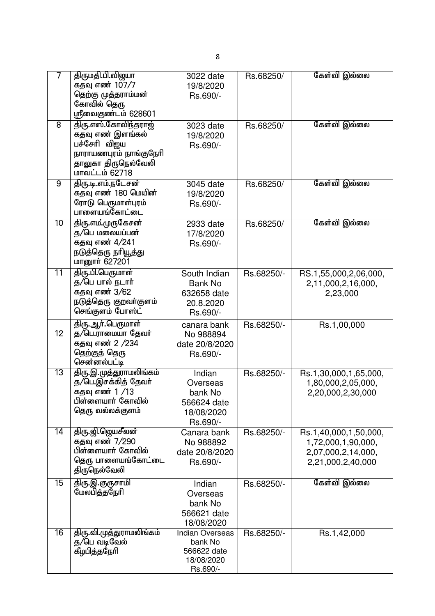| 7               | திருமதி.பி.விஜயா<br>கதவு எண் 107 <i>/</i> 7<br>தெற்கு முத்தராம்மன்<br>கோவில் தெரு<br>ஸ்ரீவைகுண்டம் 628601                   | 3022 date<br>19/8/2020<br>Rs.690/-                                         | Rs.68250/  | கேள்வி இல்லை                                                                           |
|-----------------|-----------------------------------------------------------------------------------------------------------------------------|----------------------------------------------------------------------------|------------|----------------------------------------------------------------------------------------|
| 8               | திரு.எஸ்.கோவிந்தராஜ்<br>கதவு எண் இளங்கல்<br>பச்சேரி விஜய<br>நாராயணபுரம் நாங்குநேரி<br>தாலுகா திருநெல்வேலி<br>மாவட்டம் 62718 | 3023 date<br>19/8/2020<br>Rs.690/-                                         | Rs.68250/  | கேள்வி இல்லை                                                                           |
| 9               | திரு.டி.எம்.நடேசன்<br>கதவு எண் 180 மெயின்<br>ரோடு பெருமாள்புரம்<br>பாளையங்கோட்டை                                            | 3045 date<br>19/8/2020<br>Rs.690/-                                         | Rs.68250/  | கேள்வி இல்லை                                                                           |
| 10              | <u>திரு.எம்.முருகேசன்</u><br>த/பெ மலையப்பன்<br>கதவு எண் 4/241<br>நடுத்தெரு நரியூத்து<br>மானூர் 627201                       | 2933 date<br>17/8/2020<br>Rs.690/-                                         | Rs.68250/  | கேள்வி இல்லை                                                                           |
| $\overline{11}$ | திரு.பி.பெருமாள்<br>த/பெ பால் நடார்<br>கதவு எண் 3 <i>/</i> 62<br>நடுத்தெரு குறவா்குளம்<br>செங்குளம் போஸ்ட்                  | South Indian<br><b>Bank No</b><br>632658 date<br>20.8.2020<br>Rs.690/-     | Rs.68250/- | RS.1,55,000,2,06,000,<br>2,11,000,2,16,000,<br>2,23,000                                |
| 12              | திரு.ஆா்.பெருமாள்<br>த/பெ.ராமையா தேவர்<br>கதவு எண் 2 <i>/</i> 234<br>தெற்குத் தெரு<br>சென்னல்பட்டி                          | canara bank<br>No 988894<br>date 20/8/2020<br>Rs.690/-                     | Rs.68250/- | Rs.1,00,000                                                                            |
| 13              | திரு.இ.முத்துராமலிங்கம்<br>த/பெ.இசக்கித் தேவர்<br>கதவு எண் 1 <i>/</i> 13<br>பிள்ளையார் கோவில்<br>தெரு வல்லக்குளம்           | Indian<br>Overseas<br>bank No<br>566624 date<br>18/08/2020<br>Rs.690/-     | Rs.68250/- | Rs.1,30,000,1,65,000,<br>1,80,000,2,05,000,<br>2,20,000,2,30,000                       |
| $\overline{14}$ | திரு.ஜி.ஜெயசீலன்<br>கதவு எண் 7/290<br>பிள்ளையார் கோவில்<br>தெரு பாளையங்கோட்டை<br>திருநெல்வேலி                               | Canara bank<br>No 988892<br>date 20/8/2020<br>Rs.690/-                     | Rs.68250/- | Rs.1,40,000,1,50,000,<br>1,72,000,1,90,000,<br>2,07,000,2,14,000,<br>2,21,000,2,40,000 |
| $\overline{15}$ | <u>திரு.இ.குருசாமி</u><br>மேலபித்தநேரி                                                                                      | Indian<br>Overseas<br>bank No<br>566621 date<br>18/08/2020                 | Rs.68250/- | கேள்வி இல்லை                                                                           |
| 16              | திரு.வி.முத்துராமலிங்கம்<br>த/பெ வடிவேல்<br>கீழபித்தநேரி                                                                    | <b>Indian Overseas</b><br>bank No<br>566622 date<br>18/08/2020<br>Rs.690/- | Rs.68250/- | Rs.1,42,000                                                                            |

8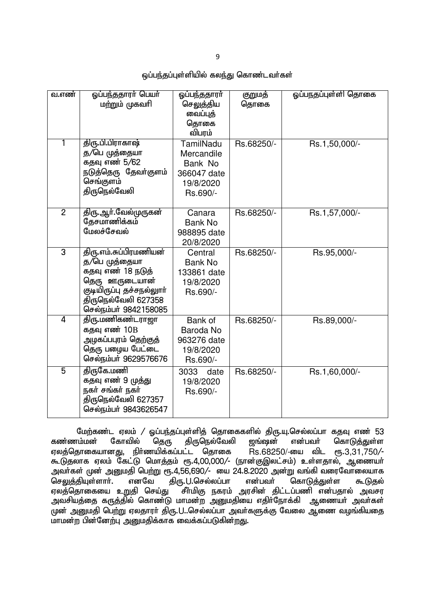9

## ஒப்பந்தப்புள்ளியில் கலந்து கொண்டவர்கள்

| வ.எண்          | ஓப்பந்ததாரர் பெயர்<br>மற்றும் முகவரி                                                                                                                        | ஒப்பந்ததாரர்<br>செலுத்திய<br>வைப்புத்<br>தொகை<br>விபரம்                    | குறுமத்<br>தொகை | ஓப்பநதப்புள்ளி தொகை |
|----------------|-------------------------------------------------------------------------------------------------------------------------------------------------------------|----------------------------------------------------------------------------|-----------------|---------------------|
| 1              | திரு.பி.பிராகாஷ்<br>த/பெ முத்தையா<br>கதவு எண் 5/62<br>நடுத்தெரு தேவா்குளம்<br>செங்குளம்<br>திருநெல்வேலி                                                     | TamilNadu<br>Mercandile<br>Bank No<br>366047 date<br>19/8/2020<br>Rs.690/- | Rs.68250/-      | Rs.1,50,000/-       |
| $\overline{2}$ | <u>திரு. ஆா்.வேல்முருகன்</u><br>தேசமாணிக்கம்<br>மேலச்சேவல்                                                                                                  | Canara<br><b>Bank No</b><br>988895 date<br>20/8/2020                       | Rs.68250/-      | Rs.1,57,000/-       |
| $\overline{3}$ | திரு.எம்.சுப்பிரமணியன்<br>த/பெ முத்தையா<br>கதவு எண் 18 நடுத்<br>தெரு ஊருடையான்<br>குடியிருப்பு தச்சநல்லுாா்<br>திருநெல்வேலி 627358<br>செல்நம்பர் 9842158085 | Central<br><b>Bank No</b><br>133861 date<br>19/8/2020<br>Rs.690/-          | Rs.68250/-      | Rs.95,000/-         |
| 4              | திரு.மணிகண்டராஜா<br>கதவு எண் 10B<br>அழகப்பபுரம் தெற்குத்<br>தெரு பழைய பேட்டை<br>செல்நம்பர் 9629576676                                                       | Bank of<br>Baroda No<br>963276 date<br>19/8/2020<br>Rs.690/-               | Rs.68250/-      | Rs.89,000/-         |
| 5              | திருகே.மணி<br>கதவு எண் 9 முத்து<br>நகர் சங்கர் நகர்<br>திருநெல்வேலி 627357<br>செல்நம்பர் 9843626547                                                         | 3033<br>date<br>19/8/2020<br>Rs.690/-                                      | Rs.68250/-      | Rs.1,60,000/-       |

மேற்கண்ட ஏலம் / ஓப்பந்தப்புள்ளித் தொகைகளில் திரு.யு.செல்லப்பா கதவு எண் 53<br>கண்ணம்மன் கோவில் தெரு திருநெல்வேலி ஜங்ஷன் என்பவர் கொடுத்துள்ள கொடுத்துள்ள ஏலத்தொகையானது, நிர்ணயிக்கப்பட்ட தொகை  $\text{Rs.68250/-}$ யை விட ரூ.3,31,750/-கூடுதலாக ஏலம் கேட்டு மொத்தம் ரூ.4,00,000/- (நான்குஇலட்சம்) உள்ளதால், ஆணையா் அவா்கள் முன் அனுமதி பெற்று ரூ.4,56,690/- யை 24.8.2020 அன்று வங்கி வரைவோலையாக<br>செலுக்கியள்ளாா். எனவே கிரு.U.செல்லப்பா என்பவா் கொடுக்குள்ள கூடுகல் செலுத்தியுள்ளார். எனவே திரு.U.செல்லப்பா என்பவர் கொடுத்துள்ள கூடுதல் ஏலத்தொகையை உறுதி செய்து `சீா்மிகு நகரம் அரசின் திட்டப்பணி என்பதால் அவசர அவசியத்தை கருத்தில் கொண்டு மாமன்ற <u>அனு</u>மதியை எதிர்நோக்கி ஆணையர் அவர்கள் முன் அனுமதி பெற்று ஏலதாரா் திரு.U..செல்லப்பா அவா்களுக்கு வேலை ஆணை வழங்கியதை மாமன்ற பின்னேற்பு அனுமதிக்காக வைக்கப்படுகின்றது.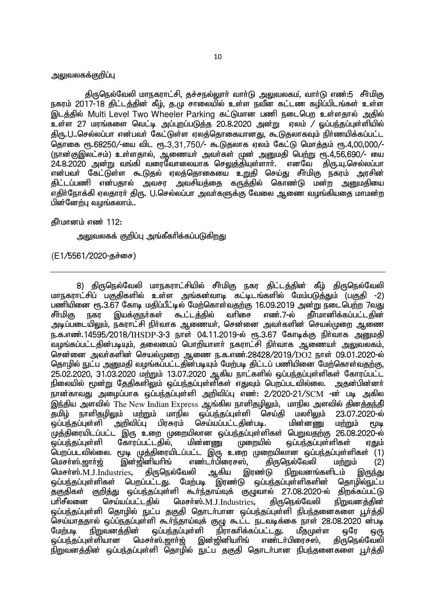#### அலுவலகக்குறிப்பு

திருநெல்வேலி மாநகராட்சி, தச்சநல்லுார் வார்டு அலுவலகம், வார்டு எண்:5 சீர்மிகு நகரம் 2017-18 திட்டத்தின் கீழ், த.மு சாலையில் உள்ள நவீன கட்டண கழிப்பிடங்கள் உள்ள இடத்தில் Multi Level Two Wheeler Parking கட்டுமான பணி நடைபெற உள்ளதால் அதில்  $\overline{\text{2}}$ ள்ள 27 மரங்களை வெட்டி அப்புறப்படுத்த 20.8.2020 அன்று எலம் / ஓப்பந்தப்பள்ளியில் திரு.U..செல்லப்பா என்பவர் கேட்டுள்ள ஏலத்தொகையானது, கூடுதலாகவும் நிர்ணயிக்கப்பட்ட தொகை ரூ.68250/-யை விட ரூ.3,31,750/- கூடுதலாக ஏலம் கேட்டு மொத்தம் ரூ.4,00,000/-(நான்குஇலட்சம்) உள்ளதால், ஆணையர் அவர்கள் முன் அனுமதி பெற்று ரூ.4,56,690/- யை  $24.8.2020$  அன்று வங்கி வரைவோலையாக செலுத்தியுள்ளார். எனவே திரு.யு.செல்லப்பா என்பவர் கேட்டுள்ள கூடுதல் ஏலத்தொகையை உறுதி செய்து சீர்மிகு நகரம் அரசின் திட்டப்பணி என்பதால் அவசர அவசியத்தை கருத்தில் கொண்டு மன்ற <u>அனு</u>மதியை எகிர்நோக்கி எலகாார் கிரு. U.செல்லப்பா அவர்களுக்கு வேலை ஆணை வமங்கியகை மாமன்**ற** பின்னேற்பு வழங்கலாம்..

தீர்மானம் எண் $112$ :

அலுவலகக் குறிப்பு அங்கீகரிக்கப்படுகிறது

(E1/5561/2020-தச்சை)

8) திருநெல்வேலி மாநகராட்சியில் சீா்மிகு நகர திட்டத்தின் கீழ் திருநெல்வேலி மாநகராட்சிப் பகுதிகளில் உள்ள அங்கன்வாடி கட்டிடங்களில் மேம்படுத்தும் (பகுதி -2) பணியினை ரூ.3.67 கோடி மதிப்பீட்டில் மேற்கொள்வதற்கு 16.09.2019 அன்று நடைபெற்ற 7வது<br>சீா்மிகு நகர இயக்குநா்கள் கூட்டத்தில் வாிசை எண்.7-ல் தீா்மானிக்கப்பட்டதின் சீா்மிகு நகர இயக்குநா்கள் கூட்டத்தில் வாிசை எண ்.7-ல் தீா்மானிக்கப்பட்டதின் அடிப்படையிலும், நகராட்சி நிர்வாக ஆணையர், சென்னை அவர்களின் செயல்முறை ஆணை ந.க.எண்.14595/2018/IHSDP-3-3 நாள் 04.11.2019-ல் ரூ.3.67 கோடிக்கு நிர்வாக அறையதி வழங்கப்பட்டதின்படியும், தலைமைப் பொறியாளர் நகராட்சி நிர்வாக ஆணையர் அலுவலகம், சென்னை அவர்களின் செயல்முறை ஆணை ந.க.எண்.28428/2019/DO2 நாள் 09.01.2020-ல் தொழில் நுட்ப அனுமதி வழங்கப்பட்டதின்படியும் மேற்படி திட்டப் பணியினை மேற்கொள்வதற்கு, 25.02.2020, 31.03.2020 மற்றும் 13.07.2020 ஆகிய நாட்களில் ஒப்பந்தப்புள்ளிகள் கோரப்பட்ட <u>நிலையில் மூன்று தேதிகளிலும் ஒப்பந்த</u>ப்புள்ளிகள் எதுவும் பெறப்படவில்லை. அதன்பின்னர் நான்காவது அழைப்பாக ஒப்பந்தப்புள்ளி அறிவிப்பு எண்: 2/2020-21/SCM -ன் படி அகில இந்திய அளவில் The New Indian Express ஆங்கில நாளிதழிலும், மாநில அளவில் தினத்தந்தி<br>தமிழ் நாளிதழிலும் மற்றும் மாநில ஒப்பந்தப்புள்ளி செய்தி மலாிலும் 23.07.2020-ல் .<br>தமிழ் நாளிதழிலும் மற்றும் மாநில ஒப்பந்தப்புள்ளி செய்தி மலாிலும் 23.07.2<br>ஓப்பந்தப்புள்ளி அறிவிப்பு பிரசுரம் செய்யப்பட்டதின்படி. மின்னணு மற்றும் .<br>அறிவிப்பு பிரசுரம் செய்யப்பட்டதின்படி. மின்னணு மற்றும் மூடி .<br>முத்திரையிடப்பட்ட இரு உறை முறையிலான ஒப்பந்தப்புள்ளிகள் பெறுவதற்கு 26.08.2020-ல்<br>ஒப்பந்தப்புள்ளி கோரப்பட்டதில், மின்னணு முறையில் ஒப்பந்தப்புள்ளிகள் ஏதும் .<br>ஒப்பந்தப்புள்ளி கோரப்பட்டதில், மின்னணு முறையில் ஒப்பந்தப்புள்ளிகள் ஏதும் .<br>பெறப்படவில்லை. மூடி முத்திரையிடப்பட்ட இரு உறை முறையிலான ஒப்பந்தப்புள்ளிகள் (1)<br>மெசா்ஸ்.றாா்ற் இன்றினியாிங் எண்டா்பிரைசஸ். கிருமொல்வேலி மா்றும் (2) எண்டர்பிரைசஸ், கிருநெல்வேலி மற்றும் (2) மெசா்ஸ்.M.J.Industries, திருநெல்வேலி ஆகிய இரண்டு நிறுவனங்களிடம் இருந்து ஒப்பந்தப்புள்ளிகள் பெறப்பட்டது. மேற்படி இரண்டு ஒப்பந்தப்புள்ளிகளின் தொழில்நுட்ப<br>தகுதிகள் குறித்து ஒப்பந்தப்புள்ளி கூா்ந்தாய்வுக் குழுவால் 27.08.2020-ல் திறக்கப்பட்டு தகுதிகள் குறித்து ஒப்பந்தப்புள்ளி கூர்ந்தாய்வுக் குழுவால் 27.08.2020-ல் பரிசீலனை செய்யப்பட்டதில் மெசர்ஸ். $M_J$ .J $_1$ ndustries, திருநெல்வேலி நிறுவனத்தின் <u>ஒ</u>ப்பந்தப்புள்ளி தொழில் நுட்ப தகுதி தொடர்பான ஒப்பந்தப்புள்ளி நிபந்தனைகளை பூர்த்தி .<br>செய்யாததால் ஒப்ப்நதப்புள்ளி கூா்ந்தாய்வுக் குழு கூட்ட நடவடிக்கை நாள் 28.08.2020 ன்படி<br>மேற்படி நிறுவனக்கின் ஒப்பந்தப்புள்ளி நிராகாிக்கப்பட்டது. மீதமுள்ள ஒரே ஒரு மேற்படி நிறுவனத்தின் ஒப்பந்தப்புள்ளி நிராகரிக்கப்பட்டது. மீதமுள்ள ஒரே ஒரு<br>ஒப்பந்தப்புள்ளியான மெசா்ஸ்.ஜாா்ஜ் இன்ஜினியாிங் எண்டா்பிரைசஸ். கிருநெல்வேலி மெசா்ஸ்.ஜாா்ஜ் இன்ஜினியாிங் எண்டா்பிரைசஸ், .<br>நிறுவனக்கின் ஒப்பந்தப்புள்ளி தொழில் நுட்ப தகுதி தொடர்பான நிபந்தனைகளை பூர்த்தி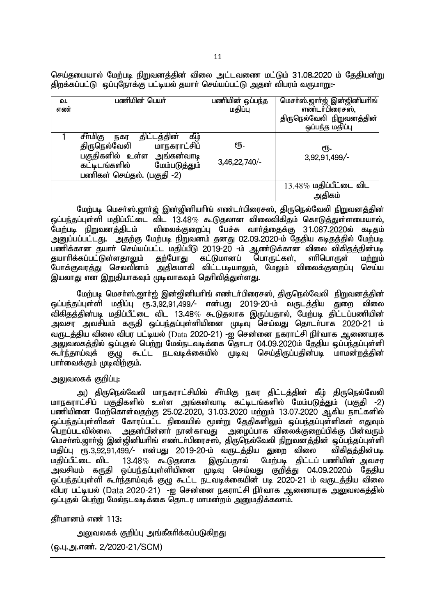செய்தமையால் மேற்படி நிறுவனத்தின் விலை அட்டவணை மட்டும் 31.08.2020 ம் தேதியன்று ் திறக்கப்பட்டு லப்புநோக்கு பட்டியல் தயார் செய்யப்பட்டு அதன் விபரம் வருமாறு:-

| வ.  | பணியின் பெயர்                                                | பணியின் ஒப்பந்த | மெசா்ஸ்.ஜாா்ஜ் இன்ஜினியாிங் |
|-----|--------------------------------------------------------------|-----------------|-----------------------------|
| எண் |                                                              | மதிப்பு         | எண்டர்பிரைசஸ்,              |
|     |                                                              |                 | திருநெல்வேலி நிறுவனத்தின்   |
|     |                                                              |                 | ஒப்பந்த மதிப்பு             |
|     | கீழ்<br>சீர்மிகு<br>திட்டத்தின்<br>நகர                       |                 |                             |
|     | திருநெல்வேலி மாநகராட்சிப்                                    | 钙.              | ரூ.                         |
|     | பகுதிகளில் உள்ள அங்கன்வாடி<br>கட்டிடங்களில்<br>மேம்படுத்தும் | 3,46,22,740/-   | 3,92,91,499/-               |
|     | பணிகள் செய்தல். (பகுதி -2)                                   |                 |                             |
|     |                                                              |                 | $13.48\%$ மதிப்பீட்டை விட   |
|     |                                                              |                 | அதிகம்                      |

மேற்படி மெசர்ஸ்.ஜார்ஜ் இன்ஜினியரிங் எண்டர்பிரைசஸ், திருநெல்வேலி நிறுவனத்தின் ஒப்பந்தப்புள்ளி மதிப்பீட்டை விட 13.48% கூடுதலான விலைவிகிதம் கொடுத்துள்ளமையால்,<br>மேற்படி நிறுவனக்கிடம் விலைக்குறைப்ப பேச்சு வார்க்கைக்கு 31.087.2020ல் கடிகம்  $\alpha$ ிலைக்குறைப்பு பேச்சு வார்க்கைக்கு 31.087.2020ல் கடிகும் <u>அனுப்பப்பட்டது. அதற்கு மேற்படி நிறுவனம் தனது 02.09.2020-ம் தேதிய கடிதத்தில் மேற்படி</u>  $\sim$ மனிக்கான சுயார் செய்யப்பட்ட மதிப்பீடு 2019-20 -ம் ஆண்டுக்கான விலை விகிகத்தின்படி தயாாிக்கப்பட்டுள்ளதாலும் தற்போது கட்டுமானப் பொருட்கள், எாிபொருள் மற்றும் போக்குவரத்து செலவினம் அதிகமாகி விட்டபடியாலும், மேலும் விலைக்குறைப்பு செய்ய இயலாது என இறுதியாகவும் முடிவாகவும் தெரிவித்துள்ளது.

மேற்படி மெசா்ஸ்.ஜாா்ஜ் இன்ஜினியாிங் எண்டா்பிரைசஸ், திருநெல்வேலி நிறுவனத்தின் ஒப்பந்தப்புள்ளி மதிப்பு ரு.3,92,91,499/- என்பது 2019-20-ம் வருடத்திய துறை விலை ்விகிதத்தின்படி மதிப்பீட்டை விட 13.48 $\%$  கூடுதலாக இருப்பதால், மேற்படி திட்டப்பணியின் அவசர அவசியம் கருதி ஒப்பந்தப்புள்ளியினை முடிவு செய்வது தொடா்பாக 2020-21 ம் வருடத்திய விலை விபர பட்டியல் (Data 2020-21) -ஐ சென்னை நகராட்சி நிர்வாக ஆணையரக ் அலுவலகத்தில் ஒப்புதல் பெற்று மேல்நடவடிக்கை தொடர 04.09.2020ம் தேதிய ஒப்பந்தப்புள்ளி \$h;e;jha;Tf; FO \$l;l eltbf;ifapy; KbT nra;jpUg;gjpd;gb khkd;wj;jpd; பார்வைக்கும் முடிவிற்கும்.

# <u>அலு</u>வலகக் குறிப்பு:

அ) திருநெல்வேலி மாநகராட்சியில் சீர்மிகு நகர திட்டத்தின் கீழ் திருநெல்வேலி மாநகராட்சிப் பகுதிகளில் உள்ள அங்கன்வாடி கட்டிடங்களில் மேம்படுத்தும் (பகுதி -2) பணியினை மேற்கொள்வதற்கு 25.02.2020, 31.03.2020 மற்றும் 13.07.2020 ஆகிய நாட்களில் <u>ஒப்பந்த</u>ப்புள்ளிகள் கோரப்பட்ட நிலையில் மூன்று தேதிகளிலும் ஒப்பந்தப்புள்ளிகள் எதுவும் வெறப்படவில்லை. அதன்பின்னா் நான்காவது அழைப்பாக விலைக்குறைப்பிக்கு பின்வரும் மெசா்ஸ்.ஜாா்ஜ் இன்ஜினியாிங் எண்டா்பிரைசஸ், திருநெல்வேலி நிறுவனத்தின் ஒப்பந்தப்புள்ளி<br>மகிப்பு ரூ.3.92.91.499/- என்பது 2019-20-ம் வருடக்கிய குறை விலை விகிகுக்கின்படி மதிப்பு ரூ.3,92,91,499/- என்பது 2019-20-ம் வருடத்திய துறை விலை<br>மதிப்பீட்டை விட 13.48*%* கூடுதலாக இருப்பதால் மேற்படி கிட்டப் மேற்படி திட்டப் பணியின் அவசர அவசியம் கருதி ஒப்பந்தப்புள்ளியினை முடிவு செய்வது கு<u>றித்து</u> 04.09.2020ம் தேதிய ஒப்பந்தப்புள்ளி கூர்ந்தாய்வுக் குழு கூட்ட நடவடிக்கையின் படி 2020-21 ம் வருடத்திய விலை விபர பட்டியல் (Data 2020-21) -ஐ சென்னை நகராட்சி நிர்வாக ஆணையரக அலுவலகத்தில் <u>ஒப்புத</u>ல் பெற்று மேல்நடவடிக்கை தொடர மாமன்றம் அனுமதிக்கலாம்.

கீர்மானம் எண் $113$ :

அலுவலகக் குறிப்பு அங்கீகரிக்கப்படுகிறது

(ஓ.பு.அ.எண். 2/2020-21/SCM)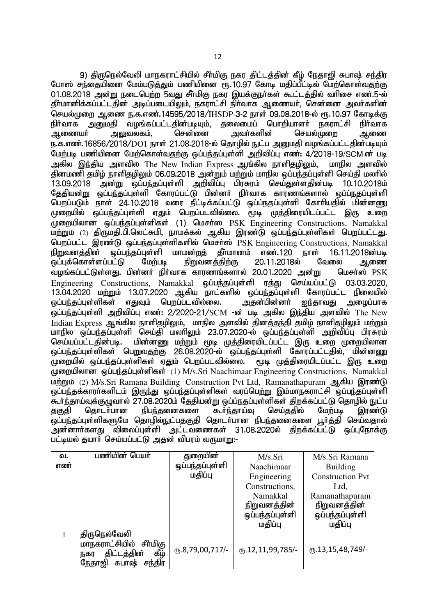9) திருநெல்வேலி மாநகராட்சியில் சீா்மிகு நகர திட்டத்தின் கீழ் நேதாஜி சுபாஷ் சந்திர போஸ் சந்தையினை மேம்படுத்தும் பணியினை  $\overline{\mathsf{e}}$ ந. 10.97 கோடி மதிப்பீட்டில் மேற்கொள்வதற்கு  $01.08.2018$  அன்று நடைபெற்ற 5வது சீர்மிகு நகர இயக்குநர்கள் கூட்டக்கில் வரிசை எண.5-ல் தீர்மானிக்கப்பட்டதின் அடிப்படையிலும், நகராட்சி நிர்வாக ஆணையர், சென்னை அவர்களின் செயல்முறை ஆணை ந.க.எண்.14595/2018/IHSDP-3-2 நாள் 09.08.2018-ல் ரூ.10.97 கோடிக்கு<br>நிர்வாக அமைகி வமங்கப்பட்டகின்படியம். கலைமைப் பொரியாளர் நகாாட்சி நிர்வாக நிா்வாக அனுமதி வழங்கப்பட்டதின்படியும், தலைமைப் பொறியாளா் நகராட்சி நிா்வாக<br>ஆணையா் அலுவலகம், சென்னை அவா்களின் செயல்முறை ஆணை செயல்முறை ஆணை ந.க.எண்.16856/2018/DO1 நாள் 21.08.2018-ல் தொழில் நுட்ப அனுமதி வழங்கப்பட்டதின்படியும் மேற்படி பணியினை மேற்கொள்வதற்கு ஒப்பந்தப்புள்ளி அறிவிப்பு எண்: 4/2018-19/SCM-ன் படி அகில இந்திய அளவில் The New Indian Express ஆங்கில நாளிதமிலும், மாநில அளவில் ்தினமணி தமிழ் நாளிதமிலும் 06.09.2018 அன்றும் மற்றும் மாநில ஒப்பந்தப்புள்ளி செய்தி மலரில் 13.09.2018 அன்று ஒப்பந்தப்புள்ளி அறிவிப்பு பிரசுரம் செய்துள்ளதின்படி 10.10.2018ம் ு பாட்டம் பட்டது.<br>தேதியன்று ஒப்பந்தப்புள்ளி கோரப்பட்டு பின்னர் நிர்வாக காரணங்களால் ஒப்ப்நதப்புள்ளி பெறப்படும் நாள் 24.10.2018 வரை நீட்டிக்கப்பட்டு ஒப்ப்நதப்புள்ளி கோரியதில் மின்னணு முறையில் ஒப்பந்தப்புள்ளி ஏதும் பெறப்படவில்லை. மூடி முத்திரையிடப்பட்ட இரு உறை முறையிலான ஒப்பந்தப்புள்ளிகள் (1) மெசர்ஸ PSK Engineering Constructions, Namakkal மற்றும் (2) திருமதி.பி.லெட்சுமி, நாமக்கல் ஆகிய இரண்டு ஒப்பந்தப்புள்ளிகள் பெறப்பட்டது. பெறப்பட்ட இரண்டு ஒப்பந்தப்புள்ளிகளில் மெசர்ஸ் PSK Engineering Constructions, Namakkal<br>நிறுவனக்கின் ஒப்பந்தப்புள்ளி மாமன்றக் தீர்மானம் எண்.120 நாள் 16.11.2018ன்படி ஒப்பந்தப்புள்ளி மாமன்றத் தீா்மானம்<br>பட்டு மேற்படி நிறுவனத்திற்கு ஒப்புக்கொள்ளப்பட்டு மற்படி நிறுவனத்திற்கு 20.11.2018ல் கேமலை ஆணை ்வழங்கப்பட்டுள்ளது. பின்னா் நிா்வாக காரணங்களால் 20.01.2020 அன்று மெசா்ஸ்  $\overline{\mathrm{PSK}}$ Engineering Constructions, Namakkal ஒப்பந்தப்புள்ளி ரத்து செய்யப்பட்டு 03.03.2020, 13.04.2020 kw;Wk; 13.07.2020 Mfpa ehl;fspy; xg;ge;jg;Gs;sp Nfhug;gl;l epiyapy; எதுவும் பெறப்படவில்லை.  $\tilde{\bm{\omega}}$ ப்பந்தப்புள்ளி அறிவிப்பு எண்: 2/2020-21/SCM -ன் படி அகில இந்திய அளவில் The New Indian Express ஆங்கில நாளிதமிலும், மாநில அளவில் கினக்குந்தி குமிழ் நாளிதமிலும் மற்றும் மாநில ஒப்பந்தப்புள்ளி செய்தி மலாிலும் 23.07.2020-ல் ஒப்பந்தப்புள்ளி அறிவிப்பு பிரசுரம்<br>செய்யப்பட்டகின்படி. மின்னணு மற்றும் மூடி முத்திரையிடப்பட்ட இரு உறை முறையிலான மின்னணு மற்றும் மூடி முத்திரையிடப்பட்ட இரு உறை முறையிலான <u>ஒப்பந்த</u>ப்புள்ளிகள் பெறுவதற்கு 26.08.2020-ல் ஒப்பந்தப்புள்ளி கோரப்பட்டதில், மின்னணு ,<br>முறையில் ஒப்பந்தப்புள்ளிகள் ஏதும் பெறப்படவில்லை. மூடி முத்திரையிடப்பட்ட இரு உறை முறையிலான ஒப்பந்தப்புள்ளிகள்  $(1)$  M/s.Sri Naachimaar Engineering Constructions, Namakkal மற்றும் (2) M/s.Sri Ramana Building Construction Pvt Ltd. Ramanathapuram ஆகிய இரண்டு .<br>ஓப்பந்தக்காரர்களிடம் இருந்து ஒப்பந்தப்புள்ளிகள் வரப்பெற்று இம்மாநகராட்சி ஒப்பந்தப்புள்ளி \$h;e;jha;Tf;FOthy; 27.08.2020k; Njjpad;W xg;g;ejg;Gs;spfs; jpwf;fg;gl;L njhopy; El;g தகுதி தொடர்பான நிபந்தனைகளை கூர்ந்தாய்வு செய்ததில் மேற்படி இரண்டு .<br>ஒப்பந்தப்புள்ளிகளுமே தொழில்நுட்பதுகுதி தொடர்பான நிபந்தனைகளை பூர்த்தி செய்வதால் அன்னார்களது விலைப்புள்ளி அட்டவணைகள் 31.08.2020ல் திறக்கப்பட்டு ஒப்புநோக்கு ...<br>பட்டியல் தயார் செய்யப்பட்டு அதன் விபரம் வருமாறு:-

| வ.  | பணியின் பெயா்              | துறையின்               | M/s.Sri                 | M/s.Sri Ramana          |
|-----|----------------------------|------------------------|-------------------------|-------------------------|
| எண் |                            | ஒப்பந்தப்புள்ளி        | Naachimaar              | <b>Building</b>         |
|     |                            | மதிப்பு                | Engineering             | <b>Construction Pvt</b> |
|     |                            |                        | Constructions,          | Ltd.                    |
|     |                            |                        | Namakkal                | Ramanathapuram          |
|     |                            |                        | <u>நிறுவனத்தின்</u>     | <u>நிறுவனத்தின்</u>     |
|     |                            |                        | ஒப்பந்தப்புள்ளி         | ஒப்பந்தப்புள்ளி         |
|     |                            |                        | மதிப்பு                 | மதிப்பு                 |
|     | திருநெல்வேலி               |                        |                         |                         |
|     | மாநகராட்சியில்<br>சீர்மிகு |                        |                         | $($ 13,15,48,749 $/$ -  |
|     | கீழ்<br>திட்டத்தின்<br>நகர | $(D.8, 79, 00, 717)$ - | $(T_0.12, 11, 99, 785)$ |                         |
|     | சந்திர<br>நேதாஜி<br>சுபாஷ் |                        |                         |                         |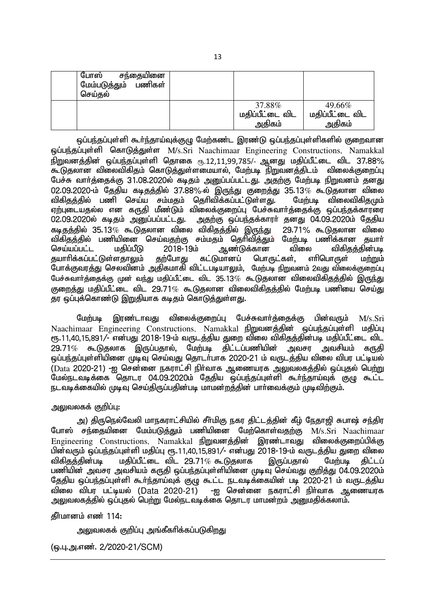| 37.88%<br>49.66%<br>மதிப்பீட்டை விட<br>மதிப்பீட்டை விட<br>அதிகம்<br>அதிகம் | போஸ்<br>சந்தையினை<br>மேம்படுத்தும் பணிகள்<br>செய்தல் |  |  |
|----------------------------------------------------------------------------|------------------------------------------------------|--|--|
|                                                                            |                                                      |  |  |

ஒப்பந்தப்புள்ளி கூர்ந்தாய்வுக்குழு மேற்கண்ட இரண்டு ஒப்பந்தப்புள்ளிகளில் குறைவான xg;ge;jg;Gs;sp nfhLj;Js;s M/s.Sri Naachimaar Engineering Constructions?! Namakkal நிறுவனத்தின் ஒப்பந்தப்புள்ளி தொகை ரூ.12,11,99,785/- ஆனது மதிப்பீட்டை விட 37.88% கூடுதலான விலைவிகிதம் கொடுத்துள்ளமையால், மேற்படி நிறுவனத்திடம் விலைக்குறைப்பு பேச்சு வார்த்தைக்கு 31.08.2020ல் கடிதம் அனுப்பப்பட்டது. அதற்கு மேற்படி நிறுவனம் தனது 02.09.2020-ம் தேதிய கடிதத்தில் 37.88%-ல் இருந்து குறைத்து 35.13% கூடுதலான விலை விகிதத்தில் பணி செய்ய சம்மதம் தெரிவிக்கப்பட்டுள்ளது. மேற்படி விலைவிகிதமும் ஏற்புடையதல்ல என கருதி மீண்டும் விலைக்குறைப்பு பேச்சுவார்த்தைக்கு ஒப்பந்தக்காரரை 02.09.2020ல் கடிதம் அனுப்பப்பட்டது. அதற்கு ஒப்பந்தக்காரா் தனது 04.09.2020ம் தேதிய<br>கடிகக்கில் 35.13*%* கூடுகலான விலை விகிகக்கில் இருந்து 29.71% கூடுகலான விலை கடிசுக்கில் 35.13 $\%$  கூடுதலான விலை விகிதத்தில் இருந்து விகிதத்தில் பணியினை செய்வதற்கு சம்மதம் தெரிவித்தும் மேற்படி பணிக்கான தயாா்<br>செய்யப்பட்ட மதிப்பீடு 2018-19ம் ஆண்டுக்கான விலை விகிகுத்தின்படி ı ஆண்டுக்கான விலை விகித<br>கட்டுமானப் பொருட்கள், எாிபொருள் தயாரிக்கப்பட்டுள்ளதாலும் தற்போது கட்டுமானப் பொருட்கள், எரிபொருள் மற்றும் போக்குவரத்து செலவினம் அதிகமாகி விட்டபடியாலும், மேற்படி நிறுவனம் 2வது விலைக்குறைப்பு பேச்சுவார்த்தைக்கு முன் வந்து மதிப்பீட்டை விட 35.13 $\%$  கூடுுதலான விலைவிகிதத்தில் இருந்து குறைத்து மதிப்பீட்டை விட 29.71 $\%$  கூடுதலான விலைவிகிதத்தில் மேற்படி பணியை செய்து தர ஒப்புக்கொண்டு இறுதியாக கடிதம் கொடுத்துள்ளது.

மேற்படி இரண்டாவது விலைக்குறைப்பு பேச்சுவார்த்தைக்கு பின்வரும் M/s.Sri Naachimaar Engineering Constructions. Namakkal நிறுவனத்தின் ஒப்பந்தப்புள்ளி மதிப்பு ரு.11,40,15,891/- என்பது 2018-19-ம் வருடத்திய துறை விலை விகிதத்தின்படி மதிப்பீட்டை விட  $29.71\%$  கூடுகலாக இருப்பதால், மேற்படி கிட்டப்பணியின் அவசா அவசியம் கருகி ் ஒப்பந்தப்புள்ளியினை முடிவு செய்வது தொடர்பாக 2020-21 ம் வருடத்திய விலை விபர பட்டியல் (Data 2020-21) -ஐ சென்னை நகராட்சி நிர்வாக ஆணையரக அலுவலகத்தில் ஒப்புதல் பெற்று ்மேல்நடவடிக்கை சொடர 04.09.2020ம் தேதிய ஒப்பந்தப்புள்ளி கூர்ந்தாய்வுக் குழு கூட்ட நடவடிக்கையில் முடிவு செய்திருப்பதின்படி மாமன்றத்தின் பார்வைக்கும் முடிவிற்கும்.

# அலுவலகக் குறிப்பு:

அ) திருநெல்வேலி மாநகராட்சியில் சீர்மிகு நகர திட்டத்தின் கீழ் நேதாஜி சுபாஷ் சந்திர போஸ் சந்தையினை மேம்படுக்கும் பணியினை மேற்கொள்வகற்கு M/s.Sri Naachimaar Engineering Constructions, Namakkal நிறுவனத்தின் இரண்டாவது விலைக்குறைப்பிக்கு பின்வரும் ஒப்பந்தப்புள்ளி மதிப்பு ரூ.11,40,15,891/- என்பது 2018-19-ம் வருடத்திய துறை விலை<br>விகிதக்கின்படி மகிப்பீட்டை விட 29.71% கூடுகலாக இருப்பதால் மேற்படி கிட்டப் மகிப்பீட்டை விட 29.71 $\%$  கூடுகலாக பணியின் அவசர அவசியம் கருதி ஒப்பந்தப்புள்ளியினை முடிவு செய்வது குறித்து 04.09.2020ம் தேதிய ஒப்பந்தப்புள்ளி கூா்ந்தாய்வுக் குழு கூட்ட நடவடிக்கையின் படி 2020-21 ம் வருடத்திய<br>விலை விபர பட்டியல் (Data 2020-21) -ஐ சென்னை நகராட்சி நிா்வாக ஆணையரக -ஐ சென்னை நகராட்சி நிர்வாக ஆணையரக அலுவலகத்தில் ஒப்புதல் பெற்று மேல்நடவடிக்கை தொடர மாமன்றம் அறுமதிக்கலாம்.

 $f$ ரீமானம் எண் $114$ :

<u>அலு</u>வலகக் குறிப்பு அங்கீகரிக்கப்படுகிறது

(ஒ.பு.அ.எண். 2/2020-21/SCM)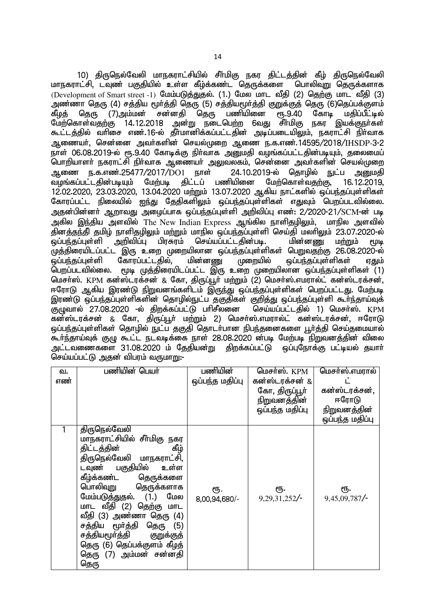10) திருநெல்வேலி மாநகராட்சியில் சீர்மிகு நகர திட்டத்தின் கீழ் திருநெல்வேலி மாநகராட்சி, டவுண் பகுதியில் உள்ள கீம்க்கண்ட தொுக்களை பொலிவுறு தொுக்களாக (Development of Smart street -1) மேம்படுக்துதல். (1.) மேல மாட வீகி (2) கெற்கு மாட வீகி (3) அண்ணா தெரு (4) சத்திய மூா்த்தி தெரு (5) சத்தியமூா்த்தி குறுக்குத் தெரு (6)தெப்பக்குளம்<br>கீழத் தெரு (7)அம்மன் சன்னதி தெரு பணியினை ரூ.9.40 கோடி மதிப்பீட்டில் கீழத் தெரு (7)அம்மன் சன்னதி தெரு பணியினை ரூ.9.40 கோடி மதிப்பீட்டில்<br>மேற்கொள்வதற்கு 14.12.2018 அன்று நடைபெற்ற 6வது சீா்மிகு நகர இயக்குநா்கள் மேற்கொள்வதற்கு 14.12.2018 கூட்டத்தில் வரிசை எண்.16-ல் தீர்மானிக்கப்பட்டதின் அடிப்படையிலும், நகராட்சி நிர்வாக Mizah;> nrd;id mth;fspd; nray;Kiw Miz e.f.vz;.14595/2018/IHSDP-3-2 நாள் 06.08.2019-ல் ரூ.9.40 கோடிக்கு நிர்வாக அனுமதி வழங்கப்பட்டதின்படியும், தலைமைப் பொறியாளா் நகராட்சி நிா்வாக ஆணையா் அலுவலகம், சென்னை அவா்களின் செயல்முறை<br>அணை ந.க.எண்.25477/2017/DO1 நாள் 24.10.2019-ல் கொமில் நட்ப அமைகி ஆணை ந.க.எண்.25477/2017/DO1 நாள் 24.10.2019-ல் தொழில் நுட்ப அனுமதி<br>வழங்கப்பட்டகின்படியும் மேற்படி கிட்டப் பணியினை மேற்கொள்வகற்கு, 16.12.2019. வமங்கப்பட்டகின்படியம் 12.02.2020, 23.03.2020, 13.04.2020 மற்றும் 13.07.2020 ஆகிய நாட்களில் ஒப்பந்தப்புள்ளிகள் கோரப்பட்ட நிலையில் <u>ஐந்து</u> தேதிகளிலும் ஒப்பந்தப்புள்ளிகள் எதுவும் பெறப்படவில்லை. அதன்பின்னர் ஆறாவது அழைப்பாக ஒப்பந்தப்புள்ளி அறிவிப்பு எண்: 2/2020-21/SCM-ன் படி அகில இந்திய அளவில் The New Indian Express ஆங்கில நாளிதழிலும், மாநில அளவில் தினத்தந்தி தமிழ் நாளிதழிலும் மற்றும் மாநில ஒப்பந்தப்புள்ளி செய்தி மலாிலும் 23.07.2020-ல்<br>ஒப்பந்தப்புள்ளி அறிவிப்பு பிரசுரம் செய்யப்பட்டதின்படி. மின்னணு மற்றும் மூடி ஒப்பந்தப்புள்ளி அறிவிப்பு பிரசுரம் செய்யப்பட்டதின்படி. மின்னணு மற்றும் மூடி முத்திரையிடப்பட்ட இரு உறை முறையிலான ஒப்பந்தப்புள்ளிகள் பெறுவதற்கு 26.08.2020-ல் ஒப்பந்தப்புள்ளி கோரப்பட்டதில், மின்னணு முறையில் ஒப்பந்தப்புள்ளிகள் ஏதும்<br>பொப்படவில்லை. மூடி முக்கிரையிடப்பட்ட இரு உரை முறையிலான வப்பந்தப்பள்ளிகள் (1)  $_{\rm H}$ டிடி முத்திரையிடப்பட்ட இரு உறை முறையிலான ஒப்பந்தப்புள்ளிகள் (1) மெசர்ஸ். KPM கன்ஸ்டரக்சன் & கோ, திருப்பூர் மற்றும் (2) மெசர்ஸ்.எமரால்ட் கன்ஸ்டரக்சன், ஈரோடு ஆகிய இரண்டு நிறுவனங்களிடம் இருந்து ஒப்பந்தப்புள்ளிகள் பெறப்பட்டது. மேற்படி இரண்டு ஒப்பந்தப்புள்ளிகளின் தொழில்நுட்ப தகுதிகள் குறித்து ஒப்பந்தப்புள்ளி கூா்ந்தாய்வுக்<br>குமுவால் 27.08.2020 -ல் கிறக்கப்பட்டு பாிசீலனை செய்யப்பட்டகில் 1) மெசா்ஸ். KPM குழுவால் 27.08.2020 -ல் திறக்கப்பட்டு பரிசீலனை கன்ஸ்டரக்சன் & கோ, திருப்பூர் ம<u>ற்று</u>ம் 2) மெசர்ஸ்.எமரால்ட் கன்ஸ்டரக்சன். ஈரோடு <u>ஒப்பந்த</u>ப்புள்ளிகள் தொழில் நுட்ப தகுதி தொடர்பான நிபந்தனைகளை பூர்த்தி செய்தமையால் .<br>கூர்ந்தாய்வுக் குழு கூட்ட நடவடிக்கை நாள் 28.08.2020 ன்படி மேற்படி நிறுவனத்தின் விலை அட்டவணைகளை 31.08.2020 ம் தேதியன்று திறக்கப்பட்டு ஒப்புநோக்கு பட்டியல் தயார் செய்யப்பட்டு அதன் விபரம் வருமாறு:-

| வ.  | பணியின் பெயர்                                                                                                                                                                                                                                                                                                                                                                                                  | பணியின்              | மெசர்ஸ். KPM        | மெசர்ஸ்.எமரால்      |
|-----|----------------------------------------------------------------------------------------------------------------------------------------------------------------------------------------------------------------------------------------------------------------------------------------------------------------------------------------------------------------------------------------------------------------|----------------------|---------------------|---------------------|
| எண் |                                                                                                                                                                                                                                                                                                                                                                                                                | ஒப்பந்த மதிப்பு      | கன்ஸ்டரக்சன் &      |                     |
|     |                                                                                                                                                                                                                                                                                                                                                                                                                |                      | கோ, திருப்பூா்      | கன்ஸ்டரக்சன்,       |
|     |                                                                                                                                                                                                                                                                                                                                                                                                                |                      | <u>நிறுவனத்தின்</u> | ஈரோடு               |
|     |                                                                                                                                                                                                                                                                                                                                                                                                                |                      | ஒப்பந்த மதிப்பு     | <u>நிறுவனத்தின்</u> |
|     |                                                                                                                                                                                                                                                                                                                                                                                                                |                      |                     | ஒப்பந்த மதிப்பு     |
|     | திருநெல்வேலி<br>மாநகராட்சியில் சீா்மிகு நகர<br>கீழ்<br>திட்டத்தின்<br>திருநெல்வேலி மாநகராட்சி,<br>டவுண் பகுதியில்<br>உள்ள<br>கீழ்க்கண்ட<br>தெருக்களை<br><u>ப</u> ொலிவுறு<br>தெருக்களாக<br>மேம்படுத்துதல். (1.)<br>மேல<br>மாட வீதி (2) தெற்கு மாட<br>வீதி (3) அண்ணா தெரு (4)<br>சத்திய மூர்த்தி<br>தெரு<br>(5)<br>சத்தியமூர்த்தி<br>குறுக்குத்<br>தெரு (6) தெப்பக்குளம் கீழத்<br>தெரு (7) அம்மன் சன்னதி<br>தெரு | ரூ.<br>8,00,94,680/- | ரூ.<br>9,29,31,252/ | ரூ.<br>9,45,09,787/ |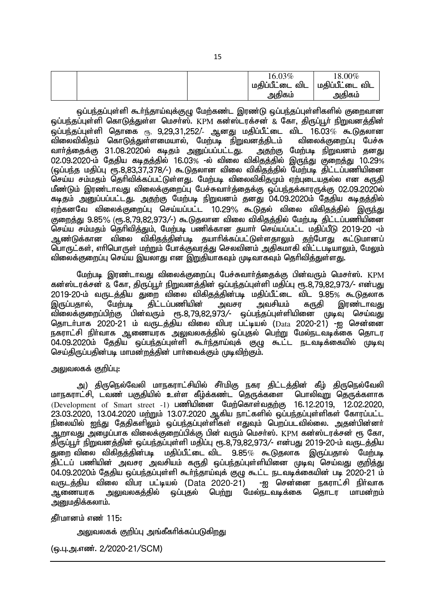|  | மகிப்பீட்டை விட | 16.03% | $18.00\%$<br>விட |  |
|--|-----------------|--------|------------------|--|
|  |                 | அதிகம் | அதிகம்           |  |

ـا<br>ا ஒப்பந்தப்புள்ளி கூர்ந்தாய்வுக்குமு மேற்கண்ட இரண்டு ஒப்பந்தப்புள்ளிகளில் குறைவான <u>ஒப்பந்த</u>ப்புள்ளி கொடுத்துள்ள மெசா்ஸ். KPM கன்ஸ்டரக்சன் & கோ, திருப்பூா் நிறுவனத்தின் ஒப்பந்தப்புள்ளி தொகை <sub>ரூ.</sub> 9,29,31,252/- ஆனது மதிப்பீட்டை விட 16.03*%* கூடுதலான<br>விலைவிகிதம் கொடுத்துள்ளமையால், மேற்படி நிறுவனத்திடம் விலைக்குறைப்பு பேச்சு .<br>விலைவிகிதம் கொடுத்துள்ளமையால், மேற்படி நிறுவனத்திடம் விலைக்குறைப்பு பேச்சு<br>வாா்த்தைக்கு 31.08.2020ல் கடிதம் அனுப்பப்பட்டது. அதற்கு மேற்படி நிறுவனம் கனது வார்த்தைக்கு 31.08.2020ல் கடிதம் அனுப்பப்பட்டது. 02.09.2020-k; Njjpa fbjj;jpy; 16.03% -y; tpiy tpfpjj;jpy; ,Ue;J Fiwj;J 10.29% (ஒப்பந்த மதிப்பு ரூ.8,83,37,378/-) கூடுதலான விலை விகிதத்தில் மேற்படி திட்டப்பணியினை செய்ய சம்மதம் தெரிவிக்கப்பட்டுள்ளது. மேற்படி விலைவிகிதமும் ஏற்புடையதல்ல என கருதி மீண்டும் இரண்டாவது விலைக்குறைப்பு பேச்சுவாா்த்தைக்கு ஒப்பந்தக்காரருக்கு 02.09.2020ல் கடிதம் அனுப்பப்பட்டது. அதற்கு மேற்படி நிறுவனம் தனது 04.09.2020ம் தேதிய கடிதத்தில் ஏற்கனவே விலைக்குறைப்பு செய்யப்பட்ட 10.29% கூடுதல் விலை விகிதத்தில் இருந்து குறைத்து 9.85% (ரூ.8,79,82,973/-) கூடுுதலான விலை விகிதத்தில் மேற்படி கிட்டப்பணியினை .<br>செய்ய சம்மகம் கொிவிக்கும். மேற்படி பணிக்கான கயார் செய்யப்பட்ட மகிப்பீடு 2019-20 -ம் <u>ஆண்டுக்கான விலை விகிதத்தின்படி த</u>யாரிக்கப்பட்டுள்ளதாலும் தற்போது கட்டுமானப் .<br>பொருட்கள், எரிபொருள் மற்றும் போக்குவரத்து செலவினம் அதிகமாகி விட்டபடியாலும், மேலும் <u>விலைக்குறைப்பு</u> செய்ய இயலாது என இறுதியாகவும் முடிவாகவும் தெரிவித்துள்ளது.

மேற்படி இரண்டாவது விலைக்குறைப்பு பேச்சுவார்த்தைக்கு பின்வரும் மெசர்ஸ். <u>KPM</u> கன்ஸ்டரக்சன் & கோ, கிருப்பூர் நிறுவனத்தின் ஒப்பந்தப்புள்ளி மதிப்பு ரூ.8,79,82,973/- என்பது 2019-20-ம் வருடத்திய துறை விலை விகிதத்தின்படி மதிப்பீட்டை விட 9.85% கூடுதலாக<br>இருப்பதால், மேற்படி கிட்டப்பணியின் அவசா அவசியம் கருதி இரண்டாவது கிட்டப்பணியின் விலைக்குறைப்பிற்கு பின்வரும் ரூ.8,79,82,973/- ஒப்பந்தப்புள்ளியினை முடிவு செய்வது தொடர்பாக 2020-21 ம் வருடத்திய விலை விபர பட்டியல் (Data 2020-21) -ஐ சென்னை நகராட்சி நிர்வாக ஆணையரக அலுவலகத்தில் ஒப்புதல் பெ<u>ற்று</u> மேல்நடவடிக்கை தொடர 04.09.2020ம் தேகிய ஒப்பந்தப்பள்ளி கூர்ந்தாய்வுக் குழு கூட்ட நடவடிக்கையில் முடிவு செய்திருப்பதின்படி மாமன்றத்தின் பார்வைக்கும் முடிவிற்கும்.

அலுவலகக் குறிப்ப:

அ) திருநெல்வேலி மாநகராட்சியில் சீா்மிகு நகர திட்டத்தின் கீழ் திருநெல்வேலி<br>ாட்சி, டவண் பகுதியில் உள்ள கீழ்க்கண்ட தெருக்களை பொலிவுறு தெருக்களாக ் பாநகராட்சி, டவண் பகுதியில் உள்ள கீழ்க்கண்ட<sup>்</sup> தெருக்களை  $(Develoment$  of Smart street -1) பணியினை மேற்கொள்வதற்கு 16.12.2019, 12.02.2020,  $23.03.2020$ , 13.04.2020 மற்றும் 13.07.2020 ஆகிய நாட்களில் ஒப்பந்தப்புள்ளிகள் கோரப்பட்ட <u>நிலையில் ஐந்து</u> தேதிகளிலும் ஒப்பந்தப்புள்ளிகள் எதுவும் பெறப்படவில்லை. அதன்பின்னர் ஆறாவது அழைப்பாக விலைக்குறைப்பிக்கு பின் வரும் மெசா்ஸ். KPM கன்ஸ்டரக்சன் ரூ கோ. திருப்பூர் நிறுவனத்தின் ஒப்பந்தப்புள்ளி மதிப்பு ரூ.8,79,82,973/- என்பது 2019-20-ம் வருடத்திய துறை விலை விகிதத்தின்படி மதிப்பீட்டை விட  $\,$  9.85 $\%$  கூடுகலாக இருப்பதால் மேற்படி ்திட்டப் பணியின் அவசர அவசியம் கருதி ஒப்பந்தப்புள்ளியினை முடிவு செய்வது குறித்து 04.09.2020ம் தேதிய ஒப்பந்தப்புள்ளி கூர்ந்தாய்வுக் குழு கூட்ட நடவடிக்கையின் படி 2020-21 ம் வருடத்திய விலை விபர பட்டியல் (Data 2020-21) -ஐ சென்னை நகராட்சி நிர்வாக<br>ஆணையரக அலுவலகக்கில் ஒப்புகல் பெற்று மேல்நடவடிக்கை தொடர மாமன்றம் அலுவலகக்கில் ஒப்புகல் பெற்று மேல்நடவடிக்கை தொடர மாமன்றம் அனுமதிக்கலாம்.

கீர்மானம் எண் $115:$ 

அலுவலகக் குறிப்பு அங்கீகரிக்கப்படுகிறது

(ஒ.பு.அ.எண். 2/2020-21/SCM)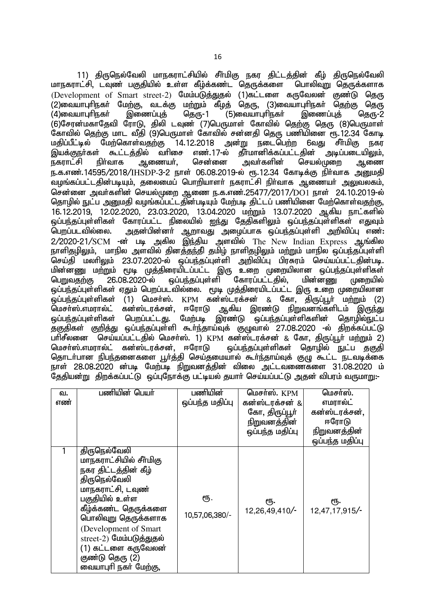11) திருநெல்வேலி மாநகராட்சியில் சீா்மிகு நகர திட்டத்தின் கீழ் திருநெல்வேலி<br>ாட்சி, டவுண் பகுதியில் உள்ள கீம்க்கண்ட தொுக்களை பொலிவுறு தொுக்களாக மாநகராட்சி, டவுண் பகுதியில் உள்ள கீம்க்கண்ட தொுக்களை  $($ Development of Smart street-2) மேம்படுத்துதல் (1)கட்டளை கருவேலன் குண்டு தெரு ் (2)வையாபுரிநகா் மேற்கு, வடக்கு மற்றும் கீழ்த் தெரு, (3)வையாபுரிநகா் தெற்கு தெரு<br>(4)வையாபுரிநகா் இணைப்புத் தெரு-1 (5)வையாபுரிநகா் இணைப்புத் தெரு-2  $(5)$ வையாபுரிநகர் (6)சேரன்மகாதேவி ரோடு, திலி டவுண் (7)பெருமாள் கோவில் தெற்கு தெரு (8)பெருமாள் .<br>கோவில் தெற்கு மாட வீதி (9)பெருமாள் கோவில் சன்னதி தெரு பணியினை ரூ. 12.34 கோடி<br>மகிப்பீட்டில் மேற்கொள்வதற்கு 14.12.2018 அன்று நடைபெற்ற 6வது சீா்மிகு நகர ் 14.12.2018 அன்று நடைபெற்ற 6வது சீா்மிகு நகர<br>lசை எண்.17-ல் தீா்மானிக்கப்பட்டதின் அடிப்படையிலும். இயக்குநா்கள் கூட்டத்தில் வாிசை எண்.17-ல் தீா்மானிக்கப்பட்டதின் அடிப்படையிலும்,<br>நகராட்சி நிா்வாக ஆணையா், சென்னை அவா்களின் செயல்முறை ஆணை நகராட்சி நிர்வாக ஆணையர், சென்னை அவர்களின் செயல்முறை ந.க.எண்.14595/2018/IHSDP-3-2 நாள் 06.08.2019-ல் ரூ.12.34 கோடீக்கு நிர்வாக அமைகி .<br>தமங்கப்பட்டதின்படியும், தலைமைப் பொரியாளர் நகராட்சி நிர்வாக ஆணையர் அலுவலகம், சென்னை அவர்களின் செயல்முறை ஆணை ந.க.எண்.25477/2017/DO1 நாள் 24.10.2019-ல் தொழில் நுட்ப அனுமதி வழங்கப்பட்டதின்படியும் மேற்படி திட்டப் பணியினை மேற்கொள்வதற்கு, 16.12.2019, 12.02.2020, 23.03.2020, 13.04.2020 மற்றும் 13.07.2020 ஆகிய நாட்களில் ஒப்பந்தப்புள்ளிகள் கோரப்பட்ட நிலையில் ஐந்து தேதிகளிலும் ஒப்பந்தப்புள்ளிகள் எதுவும்<br>பொப்படவில்லை. அகன்பின்னா் ஆறாவகு அமைப்பாக ஒப்பா்கப்பள்ளி அறிவிப்ப எண்: அதன்பின்னா் ஆறாவது அழைப்பாக ஒப்பந்தப்புள்ளி அறிவிப்பு எண்:  $2/2020$ -21/SCM -ன் படி அகில இந்திய அளவில் The New Indian Express ஆங்கில .<br>நாளிதழிலும், மாநில அளவில் தினத்தந்தி தமிழ் நாளிதழிலும் மற்றும் மாநில ஒப்பந்தப்புள்ளி செய்தி மலரிலும் 23.07.2020-ல் ஒப்பந்தப்புள்ளி அறிவிப்பு பிரசுரம் செய்யப்பட்டதின்படி. மின்னணு மற்றும் மூடி முத்திரையிடப்பட்ட இரு உறை முறையிலான ஒப்பந்தப்புள்ளிகள்<br>பெறுவதற்கு 26.08.2020-ல் லப்பந்தப்புள்ளி கோரப்பட்டதில், மின்னணு முறையில் <u>ஒப்பந்த</u>ப்புள்ளி <u>ஒப்பந்த</u>ப்புள்ளிகள் ஏதும் பெறப்படவில்லை. மூடி முத்திரையிடப்பட்ட இரு உறை முறையிலான .<br>ஒப்பந்தப்புள்ளிகள் (1) மெசா்ஸ். KPM கன்ஸ்ட்ரக்சன் & கோ, திருப்பூா் மற்றும் (2)<br>மெசா்ஸ்.எமாால்ட் கன்ஸ்டாக்சன். ஈாோடு ஆகிய இாண்டு நிறுவனங்களிடம் இருந்து ்கன்ஸ்டரக்சன், ஈரோடு ஆகிய இரண்டு நிறுவனங்களிடம் இருந்து<br>பொப்பட்டகு. மேற்படி இரண்டு ஒப்பந்தப்புள்ளிகளின் தொழில்நுட்ப <u>ஒ</u>ப்பந்தப்புள்ளிகள் பெறப்பட்டது. மேற்படி இரண்டு ஒப்பந்தப்புள்ளிகளின் சுகுதிகள் குறித்து ஒப்பந்தப்புள்ளி கூர்ந்தாய்வுக் குமுவால் 27.08.2020 -ல் திறக்கப்பட்டு பாிசீலனை <sup>-</sup> செய்யப்பட்டதில் மெசா்ஸ். 1) KPM கன்ஸ்டரக்சன் & கோ, திருப்பூா் மற்றும் 2)<br>மெசா்ஸ்.எமாால்ட் கன்ஸ்டாக்சன். ஈாோடு பை்பா்கப்பள்ளிகள் கொமில் நட்ப ககுகி <u>ஒ</u>ப்பந்தப்புள்ளிகள் தொழில் நுட்ப தகுதி <u>சொடர்பான நிபந்த</u>னைகளை <u>பூர்த்</u>தி செய்தமையால் கூர்ந்தாய்வுக் குழு கூட்ட நடவடிக்கை நாள் 28.08.2020 ன்படி மேற்படி நிறுவனத்தின் விலை அட்டவணைகளை 31.08.2020 ம் தேதியன்று திறக்கப்பட்டு ஒப்புநோக்கு பட்டியல் தயாா் செய்யப்பட்டு அதன் விபரம் வருமாறு:-

| வ.  | பணியின் பெயர்                                                                                                                                                                                                                                                                                  | பணியின்               | மெசர்ஸ். $KPM$        | மெசா்ஸ்.              |
|-----|------------------------------------------------------------------------------------------------------------------------------------------------------------------------------------------------------------------------------------------------------------------------------------------------|-----------------------|-----------------------|-----------------------|
| எண் |                                                                                                                                                                                                                                                                                                | ஒப்பந்த மதிப்பு       | கன்ஸ்டரக்சன் &        | எமரால்ட்              |
|     |                                                                                                                                                                                                                                                                                                |                       | கோ, திருப்பூா்        | கன்ஸ்டரக்சன்,         |
|     |                                                                                                                                                                                                                                                                                                |                       | <u>நிறுவனத்தின்</u>   | ஈரோடு                 |
|     |                                                                                                                                                                                                                                                                                                |                       | ஒப்பந்த மதிப்பு       | நிறுவனத்தின்          |
|     |                                                                                                                                                                                                                                                                                                |                       |                       | ஒப்பந்த மதிப்பு       |
|     | திருநெல்வேலி<br>மாநகராட்சியில் சீர்மிகு<br>நகர திட்டத்தின் கீழ்<br>திருநெல்வேலி<br>மாநகராட்சி, டவுண்<br>பகுதியில் உள்ள<br>கீழ்க்கண்ட தெருக்களை<br>பொலிவுறு தெருக்களாக<br>(Development of Smart)<br>street-2) மேம்படுத்துதல்<br>(1) கட்டளை கருவேலன்<br>குண்டு தெரு (2)<br>வையாபுரி நகர் மேற்கு, | ரூ.<br>10,57,06,380/- | ரூ.<br>12,26,49,410/- | ரூ.<br>12,47,17,915/- |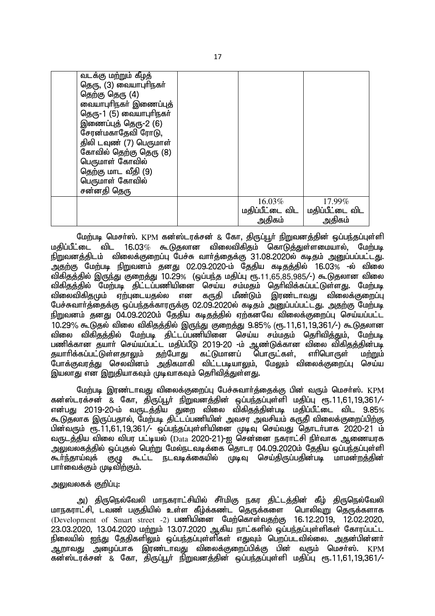| வடக்கு மற்றும் கீ <u>ழ</u> த்<br>தெரு, (3) வையாபுரிநகர்<br>தெற்கு தெரு (4)<br>வையாபுரிநகர் இணைப்புத்<br>தெரு-1 (5) வையாபுரிநகர்<br>இணைப்புத் தெரு-2 (6)<br>சேரன்மகாதேவி ரோடு,<br>திலி டவுண் (7) பெருமாள்<br>கோவில் தெற்கு தெரு (8)<br>பெருமாள் கோவில்<br>தெற்கு மாட வீதி (9)<br>பெருமாள் கோவில்<br>சன்னதி தெரு |                                     |                                     |
|----------------------------------------------------------------------------------------------------------------------------------------------------------------------------------------------------------------------------------------------------------------------------------------------------------------|-------------------------------------|-------------------------------------|
|                                                                                                                                                                                                                                                                                                                | 16.03%<br>மதிப்பீட்டை விட<br>அதிகம் | 17.99%<br>மதிப்பீட்டை விட<br>அதிகம் |
|                                                                                                                                                                                                                                                                                                                |                                     |                                     |

மேற்படி மெசர்ஸ். KPM கன்ஸ்டரக்சன் & கோ, திருப்பூர் நிறுவனத்தின் ஒப்பந்தப்புள்ளி<br>மகிப்பீட்டை விட 16.03% கூடுகலான விலைவிகிகம் கொடுக்குள்ளமையால். மேற்படி  $16.03\%$  கூடுகலான விலைவிகிகும் கொடுத்துள்ளமையால், நிறுவனத்திடம் விலைக்குறைப்பு பேச்சு வார்த்தைக்கு 31.08.2020ல் கடிதம் அனுப்பப்பட்டது. .<br>அதற்கு மேற்படி நிறுவனம் தனது 02.09.2020-ம் தேதிய கடிதத்தில் 16.03% -ல் விலை விகிதத்தில் இருந்து குறைத்து 10.29% (ஒப்பந்த மதிப்பு ரூ.11,65,85,985/-) கூடுுதலான விலை விகிதத்தில் மேற்படி திட்டப்பணியினை செய்ய சம்மதம் தெரிவிக்கப்பட்டுள்ளது. மேற்படி<br>விலைவிகிதமும் ஏற்புடையதல்ல என கருதி மீண்டும் இரண்டாவது விலைக்குறைப்பு விலைவிகிதமும் ஏற்புடையதல்ல என பேச்சுவார்த்தைக்கு ஒப்பந்தக்காரருக்கு 02.09.2020ல் கடிதம் அனுப்பப்பட்டது. அதற்கு மேற்படி நிறுவனம் தனது 04.09.2020ம் தேதிய கடிதத்தில் ஏற்கனவே விலைக்குறைப்பு செய்யப்பட்ட 10.29% கூடுதல் விலை விகிதத்தில் இருந்து குறைத்து 9.85% (ரூ.11,61,19,361/-) கூடுதலான விலை விகிதத்தில் மேற்படி திட்டப்பணியினை செய்ய சம்மதம் தெரிவித்தும், மேற்படி பணிக்கான தயார் செய்யப்பட்ட மதிப்பீடு 2019-20 -ம் ஆண்டுக்கான விலை விகிதத்தின்படி தயாரிக்கப்பட்டுள்ளதாலும் தற்போது கட்டுமானப் பொருட்கள், எரிபொருள் மற்றும் போக்குவாக்கு செலவினம் அகிகமாகி விட்டபடியாலும். மேலும் விலைக்குரைப்பு செய்ய இயலாகு என இறுகியாகவம் முடீவாகவம் கெரிவிக்குள்ளது.

மேற்படி இரண்டாவது விலைக்குறைப்பு பேச்சுவார்த்தைக்கு பின் வரும் மெசர்ஸ். KPM கன்ஸ்டரக்சன் & கோ, திருப்பூர் நிறுவனத்தின் ஒப்பந்தப்புள்ளி மதிப்பு ரூ.11,61,19,361/-என்பது 2019-20-ம் வருடத்திய துறை விலை விகிதத்தின்படி மதிப்பீட்டை விட 9.85% கூடுதலாக இருப்பதால், மேற்படி திட்டப்பணியின் அவசர அவசியம் கருதி விலைக்குறைப்பிற்கு பின்வரும் ரூ.11,61,19,361/- ஒப்பந்தப்புள்ளியினை முடிவு செய்வது தொடர்பாக 2020-21 ம் வருடத்திய விலை விபர பட்டியல் (Data 2020-21)-ஐ சென்னை நகராட்சி நிர்வாக ஆணையரக سم الله المسلم المربع المسلم المربعي المربعي المسلم المسلم المسلم المسلم المسلم المسلمين المسلمين المسلمين وال<br>கூர்ந்தாய்வக் கும கூட்ட நடவடிக்கையில் முடிவ செய்கிருப்பகின்படி மாமன்றக்கின்  $\sigma_{\rm eff}$ ம்; சுடட்ட நடவடிக்கையில் முடிவு செய்கிருப்பகின்படி மாமன்றத்தின் பாா்வைக்கும் முடிவிற்கும்.

### அலுவலகக் குறிப்பு:

அ) திருநெல்வேலி மாநகராட்சியில் சீா்மிகு நகர திட்டத்தின் கீழ் திருநெல்வேலி<br>ாட்சி, டவண் பகுகியில் உள்ள கீழ்க்கண்ட தொுக்களை பொலிவுற தொுக்களாக <u>மாந</u>கராட்சி, டவண் பகுதியில் உள்ள கீழ்க்கண்ட தொுக்களை  $(Develoment of Smart street -2)$  பணியினை மேற்கொள்வகற்கு 16.12.2019, 12.02.2020,  $23.03.2020$ , 13.04.2020 மற்றும் 13.07.2020 ஆகிய நாட்களில் ஒப்பந்தப்புள்ளிகள் கோரப்பட்ட <u>நிலையில் ஐந்து</u> தேதிகளிலும் ஒப்பந்தப்புள்ளிகள் எதுவும் பெறப்படவில்லை. அதன்பின்னர் .<br>அ.றாவது அமைப்பாக இரண்டாவது விலைக்குறைப்பிக்கு பின் வரும் மெசர்ஸ். KPM ்து;<br>தன்ஸ்டரக்சன் & கோ, திருப்பூர் நிறுவனத்தின் ஒப்பந்தப்புள்ளி மதிப்பு ரூ.11,61,19,361/-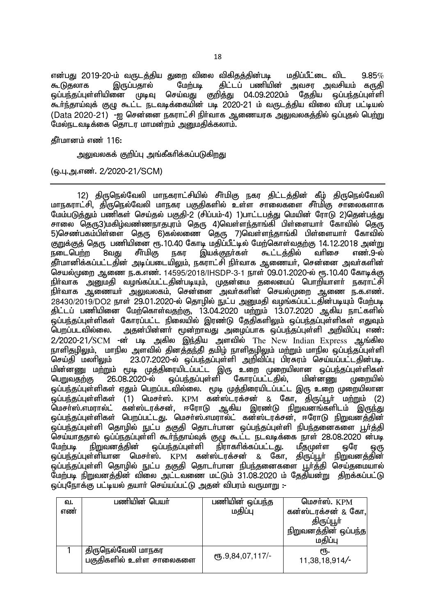என்பது 2019-20-ம் வருடத்திய துறை விலை விகிதத்தின்படி மதிப்பீட்டை விட 9.85*%*<br>கூடுதலாக இருப்பதால் மேற்படி திட்டப் பணியின் அவசா அவசியம் காகி கிட்டப் பணியின் அவசா அவசியம் கருகி ஒப்பந்தப்புள்ளியினை முடிவு செய்வது குறித்து 04.09.2020ம் தேதிய ஒப்பந்தப்புள்ளி கூர்ந்தாய்வுக் குழு கூட்ட நடவடிக்கையின் படி 2020-21 ம் வருடத்திய விலை விபர பட்டியல் (Data 2020-21) -ஹ சென்னை நகராட்சி நிர்வாக ஆணையரக அலுவலகத்தில் ஒப்புதல் பெற்று மேல்நடவடிக்கை தொடர மாமன்றம் <u>அனு</u>மதிக்கலாம்.

 $f$ ரீமானம் எண் 116:

அலுவலகக் குறிப்பு அங்கீகரிக்கப்படுகிறது

(ஒ.பு.அ.எண். 2/2020-21/SCM)

12) திருநெல்வேலி மாநகராட்சியில் சீர்மிகு நகர திட்டத்தின் கீழ் திருநெல்வேலி மாநகாாட்சி. கிருமெல்வேலி மாநகா பகுகிகளில் உள்ள சாலைகளை சீர்மிகு சாலைகளாக மேம்படுத்தும் பணிகள் செய்தல் பகுதி-2 (சிப்பம்-4) 1)பாட்டபத்து மெயின் ரோடு 2)தென்பத்து சாலை தெரு3)மகிழ்வண்ணநாதபுரம் தெரு 4)வெள்ளந்தாங்கி பிள்ளையாா் கோவில் தெரு 5)செண்பகம்பிள்ளை தெரு 6)கல்லணை தெரு 7)வெள்ளந்தாங்கி பிள்ளையார் கோவில் குறுக்குத் தெரு பணியினை ரூ.10.40 கோடி மதிப்பீட்டில் மேற்கொள்வதற்கு 14.12.2018 அன்று<br>நடைபெற்ற 8வது சீர்மிகு நகர இயக்குநா்கள் கூட்டத்தில் வாிசை எண்.9-ல் இயக்குநா்கள் கூட்டத்தில் வாிசை எண்.9-ல் ்தீர்மானிக்கப்பட்டதின் அடிப்படையிலும், நகராட்சி நிர்வாக ஆணையர், சென்னை அவர்களின் செயல்முறை ஆணை ந.க.எண். 14595/2018/IHSDP-3-1 நாள் 09.01.2020-ல் ரூ.10.40 கோடிக்கு நிர்வாக அனுமதி வழங்கப்பட்டதின்படியும், முதன்மை தலைமைப் பொறியாளர் நகராட்சி .<br>நிர்வாக ஆணையர் அலுவலகம், சென்னை அவர்களின் செயல்முறை ஆணை ந.க.எண்.  $28430/2019$ /DO2 நாள்  $29.01.2020$ -ல் தொழில் நுட்ப அறுமதி வழங்கப்பட்டதின்படியும் மேற்படி திட்டப் பணியினை மேற்கொள்வதற்கு, 13.04.2020 மற்றும் 13.07.2020 ஆகிய நாட்களில் .<br>ஒப்பந்தப்புள்ளிகள் கோரப்பட்ட நிலையில் இரண்டு தேதிகளிலும் ஒப்பந்தப்புள்ளிகள் எதுவும் பெறப்படவில்லை. அதன்பின்னா் மூன்றாவது அழைப்பாக ஒப்பந்தப்புள்ளி அறிவிப்பு எண்:  $2/2020$ -21/SCM - $\vec{a}$  படி அகில இந்திய அளவில் The New Indian Express ஆங்கில <u>நாளிதழிலு</u>ம், மாநில அளவில் தினத்தந்தி தமிழ் நாளிதழிலும் மற்றும் மாநில ஒப்பந்தப்புள்ளி செய்தி மலாிலும் 23.07.2020-ல் ஒப்பந்தப்புள்ளி அறிவிப்பு பிரசுரம் செய்யப்பட்டதின்படி. ்மின்னணு மற்றும் மூடி முத்திரையிடப்பட்ட இரு உறை முறையிலான ஒப்பந்தப்புள்ளிகள்<br>பெறுவதற்கு 26.08.2020-ல் ஒப்பந்தப்புள்ளி கோரப்பட்டதில், மின்னணு முறையில் கோரப்பட்டதில், மின்னணு முறையில் <u>ஒப்பந்தப்புள்ளிகள் ஏதும் பெறப்படவில்லை. மூடி முத்திரையிடப்பட்ட இரு உரை முறையிலான</u> .<br>ஒப்பந்தப்புள்ளிகள் (1) மெசா்ஸ். KPM கன்ஸ்ட்ரக்சன் & கோ, திருப்பூா் மற்றும் (2)<br>மெசா்ஸ்.எமாால்ட் கன்ஸ்டாக்சன். ஈாோடு ஆகிய இாண்டு நிறுவனங்களிடம் இருந்து கன்ஸ்டரக்சன், ஈரோடு ஆகிய இரண்டு நிறுவனங்களிடம் இருந்து <u>ஒ</u>ப்பந்தப்புள்ளிகள் பெறப்பட்டது. மெசர்ஸ்.எமரால்ட் கன்ஸ்டரக்சன், ஈரோடு நிறுவனத்தின் .<br>ஒப்பந்தப்புள்ளி தொழில் நுட்ப தகுதி தொடா்பான ஒப்பந்தப்புள்ளி நிபந்தனைகளை பூா்த்தி .<br>செய்யாததால் ஒப்ப்நதப்புள்ளி கூா்ந்தாய்வுக் குழு கூட்ட நடவடிக்கை நாள் 28.08.2020 ன்படி<br>மேற்படி நிறுவனக்கின் வப்பந்தப்புள்ளி நிராகாிக்கப்பட்டது. மீதமுள்ள ஒரே ஒரு .<br>நிராகரிக்கப்பட்டது. மீதமுள்ள ஒரே ஒரு ஒப்பந்தப்புள்ளியான மெசா்ஸ். KPM கன்ஸ்டரக்சன் & கோ, திருப்பூா் நிறுவனத்தின் .<br>ஒப்பந்தப்புள்ளி தொழில் நுட்ப தகுதி தொடர்பான நிபந்தனைகளை பூர்த்தி செய்தமையால் .<br>மேற்படி நிறுவனத்தின் விலை அட்டவணை மட்டும் 31.08.2020 ம் தேதியன்று திறக்கப்பட்டு ் ஒப்பரோக்கு பட்டியல் சுயார் செய்யப்பட்டு அகன் விபாம் வருமாறு :-

| வ.  | பணியின் பெயர்                                 | பணியின் ஒப்பந்த  | மெசர்ஸ். KPM          |
|-----|-----------------------------------------------|------------------|-----------------------|
| எண் |                                               | மதிப்பு          | கன்ஸ்டரக்சன் & கோ,    |
|     |                                               |                  | திருப்பூா்            |
|     |                                               |                  | நிறுவனத்தின் ஒப்பந்த  |
|     |                                               |                  | மதிப்பு               |
|     | திருநெல்வேலி மாநகர<br>பகுதிகளில் உள்ள சாலைகளை | ரு.9,84,07,117/- | €Ҧ.<br>11,38,18,914/- |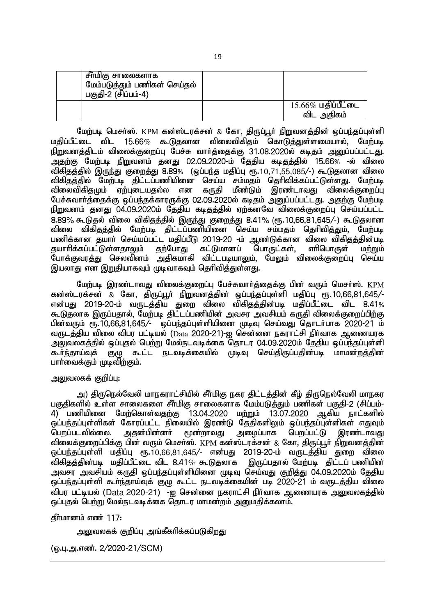| , சீா்மிகு சாலைகளாக<br><sup>' மேம்படுத்தும் பணிகள் செய்தல்</sup><br>் பகுதி-2 (சிப்பம்-4) |                                     |
|-------------------------------------------------------------------------------------------|-------------------------------------|
|                                                                                           | $15.66\%$ மதிப்பீட்டை<br>விட அதிகம் |

மேற்படி மெசர்ஸ். KPM கன்ஸ்டரக்சன் & கோ, திருப்பூர் நிறுவனத்தின் ஒப்பந்தப்புள்ளி  $\mu$ கிப்பீட்டை விட 15.66 $\%$  கூடுகலான விலைவிகிகும் கொடுக்துள்ளமையால், மேற்படி நிறுவனத்திடம் விலைக்குறைப்பு பேச்சு வாா்த்தைக்கு 31.08.2020ல் கடிதம் அனுப்பப்பட்டது. அதற்கு மேற்படி நிறுவனம் தனது 02.09.2020-ம் தேதிய கடிதத்தில் 15.66% -ல் விலை விகிதத்தில் இருந்து குறைத்து 8.89% (ஒப்பந்த மதிப்பு ரூ.10,71,55,085/-) கூடுதலான விலை விகிதத்தில் பேற்படி திட்டப்பணியினை செய்ய சம்மதம் தெரிவிக்கப்பட்டுள்ளது. மேற்படி<br>விலைவிகிதமும் ஏற்புடையதல்ல என கருதி மீண்டும் இரண்டாவது விலைக்குறைப்பு விலைவிகிகுமும் ஏற்புடையகுல்ல என பேச்சுவார்த்தைக்கு ஒப்பந்தக்காரருக்கு 02.09.2020ல் கடிதம் அனுப்பப்பட்டது. அதற்கு மேற்படி நிறுவனம் தனது 04.09.2020ம் தேதிய கடிதத்தில் ஏற்கனவே விலைக்குறைப்பு செய்யப்பட்ட 8.89% கூடுதல் விலை விகிதத்தில் இருந்து குறைத்து 8.41% (ரூ.10,66,81,645/-) கூடுதலான ் பிலை விகிதத்தில் மேற்படி திட்டப்பணியினை செய்ய சம்மதம் தெரிவித்தும், மேற்படி பணிக்கான தயாா் செய்யப்பட்ட மதிப்பீடு 2019-20 -ம் ஆண்டுக்கான விலை விகிதத்தின்படி<br>கயாாிக்கப்பட்டுள்ளகாலும் கற்போகு கட்டுமானப் பொருட்கள் எாிபொருள் மற்றும் தயாரிக்கப்பட்டுள்ளதாலும் தற்போது கட்டுமானப் பொருட்கள், எரிபொருள் மற்றும் .<br>போக்குவாக்கு செலவினம் அகிகமாகி விட்டபடியாலும், மேலும் விலைக்குறைப்பு செய்ய இயலாது என இறுதியாகவும் முடிவாகவும் தெரிவித்துள்ளது.

மேற்படி இரண்டாவது விலைக்குறைப்பு பேச்சுவார்க்கைக்கு பின் வரும் மெசர்ஸ். KPM கன்ஸ்டரக்சன் & கோ, திருப்பூர் நிறுவனத்தின் ஒப்பந்தப்புள்ளி மதிப்பு ரூ.10,66,81,645/-என்பது 2019-20-ம் வருடத்திய துறை விலை விகிதத்தின்படி மதிப்பீட்டை விட 8.41% கூடுதலாக இருப்பதால், மேற்படி திட்டப்பணியின் அவசர அவசியம் கருதி விலைக்குறைப்பிற்கு பின்வரும் ரூ.10,66,81,645/- ஒப்பந்தப்புள்ளியினை முடிவு செய்வது தொடர்பாக 2020-21 ம் வருடத்திய விலை விபர பட்டியல் (Data 2020-21)-ஐ சென்னை நகராட்சி நிர்வாக ஆணையாக அலுவலகத்தில் ஒப்புதல் பெற்று மேல்நடவடிக்கை தொடர 04.09.2020ம் தேதிய ஒப்பந்தப்புள்ளி <u>கூர்ந்</u>தாய்வுக் குழு கூட்ட நடவடிக்கையில் முடிவு செய்திருப்பதின்படி மாமன்றத்தின் பாா்வைக்கும் முடிவிற்கும்.

### அலுவலகக் குறிப்பு:

அ) திருநெல்வேலி மாநகராட்சியில் சீர்மிகு நகர திட்டத்தின் கீம் திருநெல்வேலி மாநகர பகுதிகளில் உள்ள சாலைகளை சீா்மிகு சாலைகளாக மேம்படுத்தும் பணிகள் பகுதி-2 (சிப்பம்- $\widetilde{A}$ ) பணியினை மேற்கொள்வகற்கு 13.04.2020 மற்றும் 13.07.2020 ஆகிய நாட்களில் ஒப்பந்தப்புள்ளிகள் கோரப்பட்ட நிலையில் இரண்டு தேதிகளிலும் ஒப்பந்தப்புள்ளிகள் எதுவும்<br>பெறப்படவில்லை. அதன்பின்னா் மூன்றாவது அமைப்பாக பெறப்பட்டு இரண்டாவது  $\overline{0}$ பாப்படவில்லை. விலைக்குறைப்பிக்கு பின் வரும் மெசா்ஸ். KPM கன்ஸ்டரக்சன் & கோ, திருப்பூா் நிறுவனத்தின் <u>ஒப்பந்தப்புள்ளி மதிப்பு ரூ.10,66,81,645/- என்பது 2019-20-ம் வருடத்திய துறை விலை</u> விகிதத்தின்படி மதிப்பீட்டை விட 8.41% கூடுதலாக இருப்பதால் மேற்படி திட்டப் பணியின் அவசர அவசியம் கருதி ஒப்பந்தப்புள்ளியினை முடிவு செய்வது குறித்து 04.09.2020ம் தேதிய <u>ஒப்பந்த</u>ப்புள்ளி கூர்ந்தாய்வுக் குழு கூட்ட நடவடிக்கையின் படி 2020-21 ம் வருடத்திய விலை விபர பட்டியல் (Data 2020-21) -ஐ சென்னை நகராட்சி நிர்வாக ஆணையரக <u>அலு</u>வலகத்தில் <u>ஓப்புதல் பெற்று மேல்நடவடிக்கை தொடர மாமன்றம் அறுமதிக்கலாம்.</u>

 $\delta$ ர்மானம் எண் 117:

அலுவலகக் குறிப்பு அங்கீகரிக்கப்படுகிறது

(ஓ.பு.அ.எண். 2/2020-21/SCM)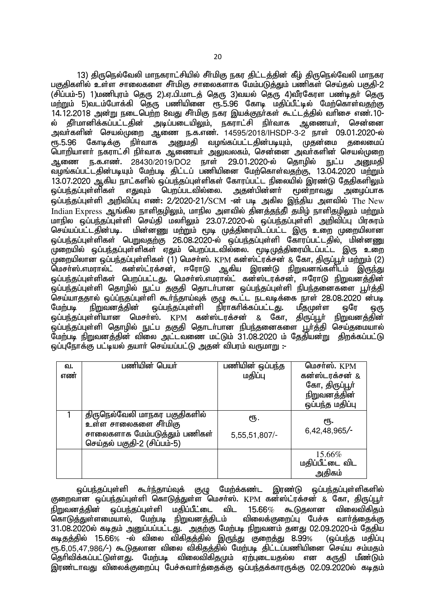13) திருநெல்வேலி மாநகராட்சியில் சீர்மிகு நகர திட்டத்தின் கீழ் திருநெல்வேலி மாநகர பகுகிகளில் உள்ள சாலைகளை சீா்மிகு சாலைகளாக மேம்படுத்தும் பணிகள் செய்தல் பகுதி-2 (சிப்பம்-5) 1)மணிபாம் கெரு 2).எ.பி.மாடக் கெரு 3)வயல் கொட 4)வீாகோள பண்டீகர் கெரு மற்றும் 5)வடம்போக்கி தெரு பணியினை ரூ.5.96 கோடி மதிப்பீட்டில் மேற்கொள்வதற்கு 14.12.2018 அன்று நடைபெற்ற 8வது சீர்மிகு நகர இயக்குநர்கள் கூட்டத்தில் வரிசை எண்.10-ல் தீா்மானிக்கப்பட்டதின் அடிப்படையிலும், நகராட்சி நிா்வாக ஆணையா், சென்னை அவா்களின் செயல்முறை ஆணை ந.க.எண். 14595/2018/IHSDP-3-2 நாள் 09.01.2020-ல் ரூ.5.96 கோடிக்கு நிா்வாக அனுமதி வழங்கப்பட்டதின்படியும், முதன்மை தலைமைப் பொறியாளா் நகராட்சி நிா்வாக ஆணையா் அலுவலகம், சென்னை அவா்களின் செயல்முறை அணை ந.க.எண். 28430/2019/DO2 நாள் 29.01.2020-ல் தொழில் நுட்ப <u>அனு</u>மதி வழங்கப்பட்டதின்படியும் மேற்படி திட்டப் பணியினை மேற்கொள்வதற்கு, 13.04.2020 மற்றும் 13.07.2020 ஆகிய நாட்களில் ஒப்பந்தப்புள்ளிகள் கோரப்பட்ட நிலையில் இரண்டு தேதிகளிலும்<br>ஒப்பந்தப்புள்ளிகள் எதுவும் பொப்படவில்லை. அதன்பின்னா் மூன்றாவது அமைப்பாக <u>லப்பந்தப்புள்ளிகள் எதுவும் பொப்படவில்லை.</u>  $\tilde{\rm g}$ ப்பந்தப்புள்ளி அறிவிப்பு எண்: 2/2020-21/SCM -ன் படி அகில இந்திய அளவில் The New Indian Express ஆங்கில நாளிதழிலும், மாநில அளவில் தினத்தந்தி தமிழ் நாளிதழிலும் மற்றும் மாநில ஒப்பந்தப்புள்ளி செய்தி மலாிலும் 23.07.2020-ல் ஒப்பந்தப்புள்ளி அறிவிப்பு பிரசுரம்<br>செய்யப்பட்டகின்படி. மின்னண மற்றும் மூடி முக்கிரையிடப்பட்ட இரு உரை முறையிலான ் மின்னணு மற்றும் மூடி முத்திரையிடப்பட்ட இரு உறை முறையிலான <u>ஓப்பந்தப்புள்ளிகள் பெறுவதற்கு 26.08.2020-ல் ஒப்பந்தப்புள்ளி கோரப்பட்டதில், மின்னணு</u> ் முறையில் ஒப்பந்தப்புள்ளிகள் ஏதும் பெறப்படவில்லை. மூடிமுத்திரையிடப்பட்ட இரு உறை முறையிலான ஒப்பந்தப்புள்ளிகள் (1) மெசா்ஸ். KPM கன்ஸ்ட்ரக்சன் & கோ, திருப்பூா் மற்றும் (2) மெசா்ஸ்.எமரால்ட் கன்ஸ்ட்ரக்சன், ஈரோடு ஆகிய இரண்டு நிறுவனங்களிடம் இருந்து <u>ஒப்பந்த</u>ப்புள்ளிகள் பெறப்பட்டது. மெசர்ஸ்.எமரால்ட் கன்ஸ்டரக்சன், ஈரோடு நிறுவனத்தின் .<br>ஒப்பந்தப்புள்ளி தொழில் நுட்ப தகுதி தொடர்பான ஒப்பந்தப்புள்ளி நிபந்தனைகளை பூர்த்தி .<br>செய்யாததால் ஒப்ப்நதப்புள்ளி கூா்ந்தாய்வுக் குழு கூட்ட நடவடிக்கை நாள் 28.08.2020 ன்படி<br>மேற்படி நிறுவனக்கின் ஒப்பந்தப்புள்ளி நிராகாிக்கப்பட்டது. மீதமுள்ள ஒரே ஒரு மேற்படி நிறுவனத்தின் ஒப்பந்தப்புள்ளி நிராகாிக்கப்பட்டது. மீதமுள்ள ஒரே ஒரு<br>ஓப்பந்கப்பள்ளியான மெசா்ஸ். KPM கன்ஸ்டாக்சன் & கோ. கிருப்பூா் நிறுவனக்கின் <u>லப்பந்தப்பள்ளியான மெசர்ஸ். KPM கன்ஸ்டரக்சன் & கோ, திருப்பூர்</u> .<br>ஒப்பந்தப்புள்ளி தொழில் நுட்ப தகுதி தொடர்பான நிபந்தனைகளை பூர்த்தி செய்தமையால் .<br>மேற்படி நிறுவனத்தின் விலை அட்டவணை மட்டும் 31.08.2020 ம் தேதியன்று திறக்கப்பட்டு ் ஒப்புரோக்கு பட்டியல் தயார் செய்யப்பட்டு அதன் விபரம் வருமாறு :-

| வ.  | பணியின் பெயர்                 | பணியின் ஒப்பந்த | மெசர்ஸ். KPM        |
|-----|-------------------------------|-----------------|---------------------|
| எண் |                               | மதிப்பு         | கன்ஸ்டரக்சன் &      |
|     |                               |                 | கோ, திருப்பூர்      |
|     |                               |                 | <u>நிறுவனத்தின்</u> |
|     |                               |                 | ஒப்பந்த மதிப்பு     |
|     | திருநெல்வேலி மாநகர பகுதிகளில் | €Ҧ.             |                     |
|     | உள்ள சாலைகளை சீர்மிகு         |                 | ιҧ.                 |
|     | சாலைகளாக மேம்படுத்தும் பணிகள் | 5,55,51,807/-   | 6,42,48,965/-       |
|     | செய்தல் பகுதி-2 (சிப்பம்-5)   |                 |                     |
|     |                               |                 | 15.66%              |
|     |                               |                 | மதிப்பீட்டை விட     |
|     |                               |                 | அதிகம்              |

ஒப்பந்தப்புள்ளி கூர்ந்தாய்வுக் குழு மேற்க்கண்ட இரண்டு ஒப்பந்தப்புள்ளிகளில் குறைவான ஒப்பந்தப்புள்ளி கொடுத்துள்ள மெசா்ஸ். KPM கன்ஸ்ட்ரக்சன் & கோ, திருப்பூா்<br>நிறுவளக்கின் வப்பந்தப்பள்ளி பாதிப்பீட்டை விட 15.66% கூடுகலான விலைவிகிகம் ் ஒப்பந்தப்புள்ளி மதிப்பீட்டை விட 15.66*%* கூடுதலான விலைவிகிதம்<br>மமயால். மேற்படி நிறுவனக்கிடம் விலைக்குறைப்பு பேச்சு வார்க்கைக்கு .<br>தொடுத்துள்ளமையால், மேற்படி நிறுவனத்திடம் 31.08.2020ல் கடிதம் அனுப்பப்பட்டது. அதற்கு மேற்படி நிறுவனம் தனது 02.09.2020-ம் தேதிய<br>கடிசுக்கில் 15.66% -ல் விலை விகிசுக்கில் இருந்து குறைக்கு 8.99% (பை்பந்த மகிப்ப . 1.00.202000 தைத்த அதுப்பட்டது. அத்தகு - பட்ட தத்திரைத்து குரும்பார்.<br>கடிதத்தில் 15.66% -ல் விலை விகிதத்தில் இருந்து குறைத்து 8.99% ரூ.6,05,47,986/-) கூடுதலான விலை விகிதத்தில் மேற்படி திட்டப்பணியினை செய்ய சம்மதம் .<br>தெரிவிக்கப்பட்டுள்ளது. மேற்படி விலைவிகிதமும் ஏற்படையதல்ல என கருதி மீண்டும் இரண்டாவது விலைக்குறைப்பு பேச்சுவார்த்தைக்கு ஒப்பந்தக்காரருக்கு 02.09.2020ல் கடிதம்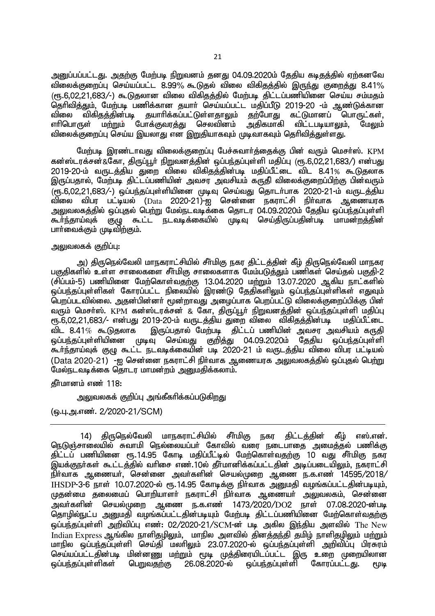அனுப்பப்பட்டது. அதற்கு மேற்படி நிறுவனம் தனது 04.09.2020ம் தேதிய கடிதத்தில் ஏற்கனவே  $\alpha$ ிலைக்குறைப்ப செய்யப்பட்ட 8.99% கூடுகல் விலை விகிகக்கில் இருந்து குறைக்கு 8.41%  $(\mathsf{f} \mathsf{f} \mathsf{f} \mathsf{f} \mathsf{f} \mathsf{f} \mathsf{f} \mathsf{f} \mathsf{f} \mathsf{f})$  கூடுகலான விலை விகிதத்தில் மேற்படி கிட்டப்பணியினை செய்ய சம்மதம் .<br>தெரிவித்தும், மேற்படி பணிக்கான தயாா் செய்யப்பட்ட மதிப்பீடு 2019-20 -ம் ஆண்டுக்கான விலை விகிதத்தின்படி தயாரிக்கப்பட்டுள்ளதாலும் தற்போது கட்டுமானப் பொருட்கள்,<br>எரிபொருள் மற்றும் போக்குவரத்து செலவினம் அதிகமாகி விட்டபடியாலும். மேலும் போக்குவர<u>த்து</u> செலவினம் .<br>விலைக்குறைப்பு செய்ய இயலாது என இறுதியாகவும் முடிவாகவும் தெரிவித்துள்ளது.

மேற்படி இரண்டாவது விலைக்குறைப்பு பேச்சுவார்த்தைக்கு பின் வரும் மெசர்ஸ். KPM கன்ஸ்டரக்சன்&கோ, திருப்பூர் நிறுவனத்தின் ஒப்பந்தப்புள்ளி மதிப்பு (ரூ.6,02,21,683/) என்பது 2019-20-ம் வருடத்திய துறை விலை விகிதத்தின்படி மதிப்பீட்டை விட 8.41% கூடுதலாக <u>இருப்பதால், மேற்படி கிட்டப்பணியின் அவசா அவசியம் கரு</u>கி விலைக்குறைப்பிற்கு பின்வரும்  $\widetilde{\epsilon}$ ரு. 6.02.21.683/-) ஓப்பந்தப்புள்ளியினை முடிவு செய்வது தொடர்பாக 2020-21-ம் வருடத்திய ்விலை விபர பட்டியல் (Data 2020-21)-ஐ சென்னை நகராட்சி நிர்வாக ஆணையரக அலுவலகத்தில் ஒப்புதல் பெற்று மேல்நடவடிக்கை தொடர 04.09.2020ம் தேதிய ஒப்பந்தப்புள்ளி <u>கூர்ந்</u>தாய்வுக் குழு கூட்ட நடவடிக்கையில் முடிவு செய்திருப்பதின்படி மாமன்றத்தின் பாா்வைக்கும் முடிவிற்கும்.

#### அலுவலகக் குறிப்பு $:$

அ) கிருநெல்வேலி மாநகராட்சியில் சீர்மிகு நகர திட்டத்தின் கீழ் திருநெல்வேலி மாநகர பகுதிகளில் உள்ள சாலைகளை சீர்மிகு சாலைகளாக மேம்படுத்தும் பணிகள் செய்தல் பகுதி-2 (சிப்பம்-5) பணியினை மேற்கொள்வதற்கு 13.04.2020 மற்றும் 13.07.2020 ஆகிய நாட்களில் <u>ஒ</u>ப்பந்தப்புள்ளிகள் கோரப்பட்ட நிலையில் இரண்டு தேதிகளிலும் ஒப்பந்தப்புள்ளிகள் எதுவும் பெறப்படவில்லை. அதன்பின்னா் மூன்றாவது அழைப்பாக பெறப்பட்டு விலைக்குறைப்பிக்கு பின் வரும் மெசா்ஸ். KPM கன்ஸ்டரக்சன் & கோ, திருப்பூா் நிறுவனத்தின் ஒப்பந்தப்புள்ளி மதிப்பு ரூ.6,02,21,683/- என்பது 2019-20-ம் வருடத்திய துறை விலை விகிதத்தின்படி மதிப்பீட்டை<br>விட 8.41% கூடுகலாக இருப்பகால் மேற்படி கிட்டப் பணியின் அவசா அவசியம் காூகி இருப்பதால் மேற்படி திட்டப் பணியின் அவசர அவசியம் கருதி ஒப்பந்தப்புள்ளியினை முடிவு செய்வது குறித்து 04.09.2020ம் தேதிய ஒப்பந்தப்புள்ளி கூர்ந்தாய்வுக் குழு கூட்ட நடவடிக்கையின் படி 2020-21 ம் வருடத்திய விலை விபர பட்டியல் (Data 2020-21) -ஐ சென்னை நகராட்சி நிர்வாக ஆணையரக அலுவலகத்தில் ஒப்புதல் பெற்று மேல்நடவடிக்கை தொடர மாமன்றம் அனுமதிக்கலாம்.

தீா்மானம் எண் 118:

அலுவலகக் குறிப்பு அங்கீகரிக்கப்படுகிறது

(ஒ.பு.அ.எண். 2/2020-21/SCM)

14) திருநெல்வேலி மாநகராட்சியில் சீர்மிகு நகர திட்டத்தின் கீழ் எஸ்.என். ொடுஞ்சாலையில் சுவாமி நெல்லையப்பர் கோவில் வரை நடைபாதை அமைத்தல் பணிக்கு ்திட்டப் பணியினை ரூ.14.95 கோடி மதிப்பீட்டில் மேற்கொள்வதற்கு 10 வது சீர்மிகு நகர .<br>இயக்குநா்கள் கூட்டத்தில் வாிசை எண்.10ல் தீா்மானிக்கப்பட்டதின் அடிப்படையிலும், நகராட்சி நிர்வாக ஆணையர், சென்னை அவர்களின் செயல்முறை ஆணை ந.க.எண் 14595/2018/  $I$ HSDP-3-6 நாள் 10.07.2020-ல் ரூ.14.95 கோடீக்கு நிர்வாக அமைகி வமங்கப்பட்டகின்படியம். முதன்மை கலைமைப் பொரியாளர் நகராட்சி நிர்வாக ஆணையர் அலுவலகம், சென்னை  $\sim$ அவர்களின் செயல்முறை ஆணை ந.க.எண 1473/2020/DO2 நாள் 07.08.2020-ன்படி njhopy;El;g mDkjp toq;fg;gl;ljpd;gbAk; Nkw;gb jpl;lg;gzpapid Nkw;nfhs;tjw;F  $\ddot{\text{q}}$ ப்பந்தப்புள்ளி அறிவிப்பு எண்: 02/2020-21/SCM-ன் படி அகில இந்திய அளவில் The New .<br>Indian Express ஆங்கில நாளிதழிலும், மாநில அளவில் தினத்தந்தி தமிழ் நாளிதழிலும் மற்றும் மாநில ஒப்பந்தப்புள்ளி செய்தி மலாிலும் 23.07.2020-ல் ஒப்பந்தப்புள்ளி அறிவிப்பு பிரசுரம் காதில் ஒட்டத்தப்புகள் கட்டத்த கண்டும் கட்டம் கட்டம் கட்டம்.<br>செய்யப்பட்டதின்படி மின்னணு மற்றும் மூடி முத்திரையிடப்பட்ட இரு உறை முறையிலான<br>ஒப்பந்தப்புள்ளிகள் பெறுவதற்கு 26.08.2020-ல் ஒப்பந்தப்புள்ளி கோரப்பட்டது. மூடி ஒப்பந்தப்புள்ளி கோரப்பட்டது. மூடி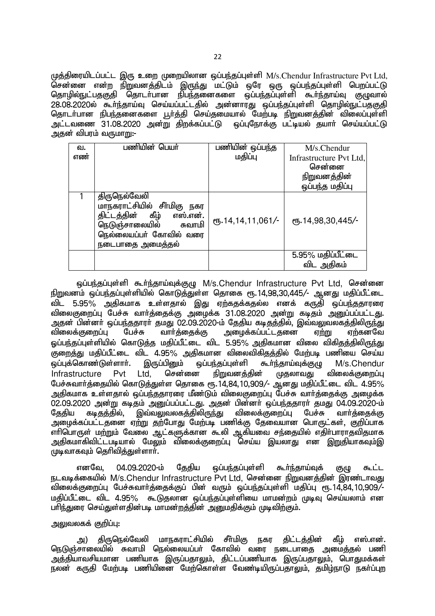முத்திரையிடப்பட்ட இரு உறை முறையிலான ஒப்பந்தப்புள்ளி  $M/s$ .Chendur Infrastructure Pvt Ltd, சென்னை என்ற நிறுவனத்திடம் இருந்து மட்டும் ஒரே ஒரு ஒப்பந்தப்புள்ளி பெறப்பட்டு <u>தொழில்நுட்பதகுதி தொடர்பான நிபந்த</u>னைகளை ஒப்பந்தப்புள்ளி கூர்ந்தாய்வு குழுவால் 28.08.2020ல் கூர்ந்தாய்வு செய்யப்பட்டதில் அன்னாரது ஒப்பந்தப்புள்ளி தொழில்நுட்பதகுதி தொடர்பான நிபந்தனைகளை பூர்த்தி செய்தமையால் மேற்படி நிறுவனத்தின் விலைப்புள்ளி அட்டவணை 31.08.2020 அன்று திறக்கப்பட்டு ஒப்புநோக்கு பட்டியல் சுயார் செய்யப்பட்டு ்வுகுன் விபரம் வருமாறு:-

| வ.  | பணியின் பெயர்                                                                                                                                             | பணியின் ஒப்பந்த   | M/s.Chendur                        |
|-----|-----------------------------------------------------------------------------------------------------------------------------------------------------------|-------------------|------------------------------------|
| எண் |                                                                                                                                                           | மதிப்பு           | Infrastructure Pvt Ltd,            |
|     |                                                                                                                                                           |                   | சென்னை                             |
|     |                                                                                                                                                           |                   | <u>நிறுவனத்தின்</u>                |
|     |                                                                                                                                                           |                   | ஒப்பந்த மதிப்பு                    |
|     | திருநெல்வேலி<br>மாநகராட்சியில் சீா்மிகு<br>நகர<br>திட்டத்தின் கீழ்<br>எஸ்.என்.<br>நெடுஞ்சாலையில்<br>சுவாமி<br>நெல்லையப்பா் கோவில் வரை<br>நடைபாதை அமைத்தல் | ரு.14,14,11,061/- | ரு.14,98,30,445/-                  |
|     |                                                                                                                                                           |                   | $5.95\%$ மதிப்பீட்டை<br>விட அதிகம் |

ஒப்பந்தப்புள்ளி கூர்ந்தாய்வுக்குழு M/s.Chendur Infrastructure Pvt Ltd, சென்னை <u>நிறு</u>வனம் ஒப்பந்தப்புள்ளியில் கொடுத்துள்ள தொகை ரூ.14,98,30,445/- ஆனது மதிப்பீட்டை ்விட 5.95% அதிகமாக உள்ளதால் இது ஏற்கதக்கதல்ல எனக் கருதி ஒப்பர்குகாரரை விலைகுறைப்பு பேச்சு வார்த்தைக்கு அழைக்க 31.08.2020 அன்று கடிதம் அனுப்பப்பட்டது. அதன் பின்னா் ஒப்பந்ததாரா் தமது 02.09.2020-ம் தேதிய கடிதத்தில், இவ்வலுவலகத்திலிருந்து<br>விலைக்குறைப்பு பேச்சு வாா்த்தைக்கு அழைக்கப்பட்டதனை ஏற்று ஏற்கனவே விலைக்குறைப்பு பேச்சு வார்த்தைக்கு அழைக்கப்பட்டதனை ஏற்று ஏற்கனவே ஓப்பந்தப்புள்ளியில் கொடுத்த மதிப்பீட்டை விட 5.95% அதிகமான விலை விகிதத்திலிருந்து .<br>குறைத்து மதிப்பீட்டை விட 4.95% அதிகமான விலைவிகிதத்தில் மேற்படி பணியை செய்ய<br>ஓப்புக்கொண்டுள்ளாா். இருப்பினும் ஒப்பந்தப்புள்ளி கூா்ந்தாய்வுக்குழு M/s.Chendur ஒப்புக்கொண்டுள்ளாா். இருப்பினும் ஒப்பந்தப்புள்ளி கூா்ந்தாய்வுக்குழு M/s.Chendur<br>|nfrastructure Pvt Ltd. சென்னை நிறுவனத்தின் முதலாவது விலைக்குறைப்பு  $\frac{1}{10}$ Infrastructure Pvt Ltd, சென்னை நிறுவனத்தின் முதலாவது விலைக்குறைப்பு பேச்சுவார்த்தையில் கொடுத்துள்ள தொகை ரூ.14,84,10,909/- ஆனது மதிப்பீட்டை விட 4.95% அதிகமாக உள்ளதால் ஒப்பந்ததாரரை மீண்டும் விலைகுறைப்பு பேச்சு வார்த்தைக்கு அமைக்க 02.09.2020 அன்று கடிதம் அனுப்பப்பட்டது. அதன் பின்னா் ஒப்பந்ததாரா் தமது 04.09.2020-ம்<br>தேதிய கடிதத்தில், இவ்வலுவலகத்திலிருந்து விலைக்குறைப்பு பேச்சு வாா்க்கைக்கு <u>தேதிய கடிதத்தி</u>ல், இவ்வலுவலகத்திலிருந்து விலைக்குறைப்பு பேச்சு வார்த்தைக்கு அழைக்கப்பட்டதனை ஏற்று தற்போது மேற்படி பணிக்கு தேவையான பொருட்கள். குறிப்பாக எாிபொருள் மற்றும் வேலை ஆட்களுக்கான கூலி ஆகியவை சந்தையில் எதிா்பாராதவிதமாக அதிகமாகிவிட்டபடியால் மேலும் விலைக்குறைப்பு செய்ய இயலாது என <u>இறு</u>தியாகவும்இ  $\mu$ டிவாகவும் தெரிவித்துள்ளாா்.

எனவே, 04.09.2020-ம் தேதிய ஒப்பந்தப்புள்ளி கூர்ந்தாய்வுக் குழு கூட்ட நடவடிக்கையில் M/s.Chendur Infrastructure Pvt Ltd, சென்னை நிறுவனக்கின் இரண்டாவது விலைக்குறைப்பு பேச்சுவார்த்தைக்குப் பின் வரும் ஒப்பந்தப்புள்ளி மதிப்பு ரூ. 14,84, 10,909/-் மதிப்பீட்டை விட 4.95% கூடுதலான ஒப்பந்தப்பள்ளியை மாமன்றம் முடிவ செய்யலாம் என பரிந்துரை செய்துள்ளதின்படி மாமன்றத்தின் அனுமதிக்கும் முடிவிற்கும்.

# அலுவலகக் குறிப்பு:

அ) திருநெல்வேலி மாநகராட்சியில் சீர்மிகு நகர திட்டத்தின் கீழ் எஸ்.என். நெடுஞ்சாலையில் சுவாமி நெல்லையப்பர் கோவில் வரை நடைபாதை அமைத்தல் பணி .<br>அத்தியாவசியமான பணியாக இருப்பதாலும், திட்டப்பணியாக இருப்பதாலும், பொதுமக்கள் ்கள் கருதி மேற்படி பணியிணை மேற்கொள்ள வேண்டியிருப்பதாலும். தமிம்நாடு நகர்ப்புற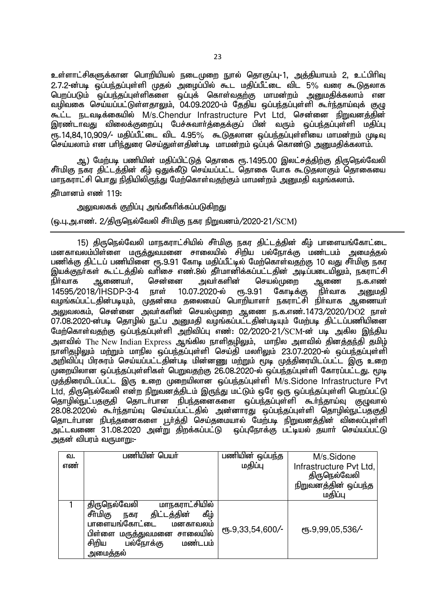உள்ளாட்சிகளுக்கான பொறியியல் நடைமுறை நூல் தொகுப்பு-1, அத்தியாயம் 2, உட்பிரிவு  $2.7.2$ -ன்படி ஒப்பந்கப்பள்ளி முகல் அமைப்பில் கூட மகிப்பீட்டை விட 5% வரை கூடுகலாக வறப்படும் ஒப்பந்தப்புள்ளிகளை ஒப்புக் கொள்வதற்கு மாமன்றம் அனுமதிக்கலாம் என வழிவகை செய்யப்பட்டுள்ளதாலும், 04.09.2020-ம் தேதிய ஒப்பந்தப்புள்ளி கூர்ந்தாய்வுக் குழு கூட்ட நடவடிக்கையில் M/s.Chendur Infrastructure Pvt Ltd, சென்னை நிறுவனத்தின் <u>இரண்டாவது விலைக்குறைப்பு பேச்சுவார்க்கைக்குப் பின் வரும் ஒப்பந்தப்புள்ளி மகிப்பு</u>  $\epsilon$ ந.14.84.10.909/- மகிப்பீட்டை விட 4.95% கூடுகலான ஓப்பந்தப்புள்ளியை மாமன்றம் முடிவு செய்யலாம் என பரிந்துரை செய்துள்ளதின்படி மாமன்றம் ஒப்புக் கொண்டு அறுமதிக்கலாம்.

ஆ) மேற்படி பணியின் மதிப்பிட்டுத் தொகை ரூ.1495.00 இலட்சத்திற்கு திருநெல்வேலி சீர்மிகு நகர திட்டத்தின் கீழ் ஒதுக்கீடு செய்யப்பட்ட தொகை போக கூடுதலாகும் தொகையை மாநகராட்சி பொது நிதியிலிருந்து மேற்கொள்வதற்கும் மாமன்றம் அனுமதி வழங்கலாம்.

 $\boldsymbol{\hat{\mathrm{m}}}$ ர்புரன் 119:

#### <u>ு வலுவலகக் குறிப்ப அங்கீகரிக்கப்படுகிறது.</u>

(டைப, அ.எண். 2/கிருநெல்வேலி சீர்மிகு நகர நிறுவனம்/2020-21/SCM)

15) கிருநெல்வேலி மாநகராட்சியில் சீா்மிகு நகர திட்டத்தின் கீழ் பாளையங்கோட்டை மனகாவலம்பிள்ளை மருத்துவமனை சாலையில் சிறிய பல்நோக்கு மண்டபம் அமைத்தல் பணிக்கு கிட்டப் பணியினை ரூ.9.91 கோடி மகிப்பீட்டில் மேற்கொள்வதற்கு 10 வது சீர்மிகு நகர இயக்குநா்கள் கூட்டத்தில் வாிசை எண்.8ல் தீா்மானிக்கப்பட்டதின் அடிப்படையிலும், நகராட்சி<br>நிா்வாக ஆணையா். சென்னை அவா்களின் செயல்முறை ஆணை ந.க.எண் ஆணையர், சென்னை அவர்களின் செயல்முறை ஆணை ந.க.எண்<br>3/IHSDP-3-4 நாள் 10.07.2020-ல் ரூ.9.91 கோடிக்கு நிர்வாக அறுமதி 14595/2018/IHSDP-3-4 நாள் 10.07.2020-ல் ரூ.9.91 கோடிக்கு நிர்வாக அறுமதி வழங்கப்பட்டதின்படியும், முதன்மை தலைமைப் பொறியாளர் நகராட்சி நிர்வாக ஆணையர் அலுவலகம், சென்னை அவர்களின் செயல்முறை ஆணை ந.க.எண்.1473/2020/DO2 நாள் 07.08.2020-ன்படி தொழில் நுட்ப அனுமதி வழங்கப்பட்டதின்படியும் மேற்படி திட்டப்பணியினை மேற்கொள்வதற்கு ஒப்பந்தப்புள்ளி அறிவிப்பு எண்: 02/2020-21/SCM-ன் படி அகில இந்திய அளவில் The New Indian Express ஆங்கில நாளிதழிலும், மாநில அளவில் தினத்தந்தி தமிழ்  $\overline{\text{B}}$ ாளிதழிலும் மற்றும் மாநில ஒப்பந்தப்புள்ளி செய்தி மலரிலும் 23.07.2020-ல் ஒப்பந்தப்பள்ளி .<br>அறிவிப்பு பிரசுரம் செய்யப்பட்டதின்படி மின்னணு மற்றும் மூடி முக்கிரையிடப்பட்ட இரு உறை  $\overline{\mu}$ மறையிலான ஒப்பந்தப்புள்ளிகள் பெறுவதற்கு 26.08.2020-ல் ஒப்பந்தப்புள்ளி கோரப்பட்டது. மூடி  $\tilde{\mu}$ க்கிரையிடப்பட்ட இரு உறை முறையிலான ஒப்பந்கப்பள்ளி M/s.Sidone Infrastructure Pvt Ltd, திருநெல்வேலி என்ற நிறுவனத்திடம் இருந்து மட்டும் ஒரே ஒரு ஒப்பந்தப்புள்ளி பெறப்பட்டு <u>தொழில்நுட்பதகுதி</u> தொடர்பான நிபந்தனைகளை ஒப்பந்தப்புள்ளி கூர்ந்தாய்வு குழுவால் ுதாதானு——தகுத், பதாடியமான திடத்தினை மானாரது ஒப்பந்தப்புள்ளி தொழில்நுட்பதகுதி<br>28.08.2020ல் கூா்ந்தாய்வு செய்யப்பட்டதில் அன்னாரது ஒப்பந்தப்புள்ளி தொழில்நுட்பதகுதி தொடர்பான நிபந்தனைகளை பூர்த்தி செய்தமையால் மேற்படி நிறுவனத்தின் விலைப்புள்ளி அட்டவணை 31.08.2020 அன்று திறக்கப்பட்டு ஒப்புநோக்கு பட்டியல் தயார் செய்யப்பட்டு அகன் விபரம் வருமா**m**:-

| வ.  | பணியின் பெயர்                                                                                                                                                                     | பணியின் ஒப்பந்த  | M/s.Sidone                              |
|-----|-----------------------------------------------------------------------------------------------------------------------------------------------------------------------------------|------------------|-----------------------------------------|
| எண் |                                                                                                                                                                                   | மதிப்பு          | Infrastructure Pvt Ltd,<br>திருநெல்வேலி |
|     |                                                                                                                                                                                   |                  | நிறுவனத்தின் ஒப்பந்த                    |
|     |                                                                                                                                                                                   |                  | மதிப்பு                                 |
|     | மாநகராட்சியில்<br>திருநெல்வேலி<br>சீர்மிகு<br>கீழ்<br>திட்டத்தின்<br>நகர<br>பாளையங்கோட்டை<br>மனகாவலம்<br>பிள்ளை மருத்துவமனை சாலையில்<br>சிறிய<br>பல்நோக்கு<br>மண்டபம்<br>அமைத்தல் | ரு.9,33,54,600/- | ரு.9,99,05,536/-                        |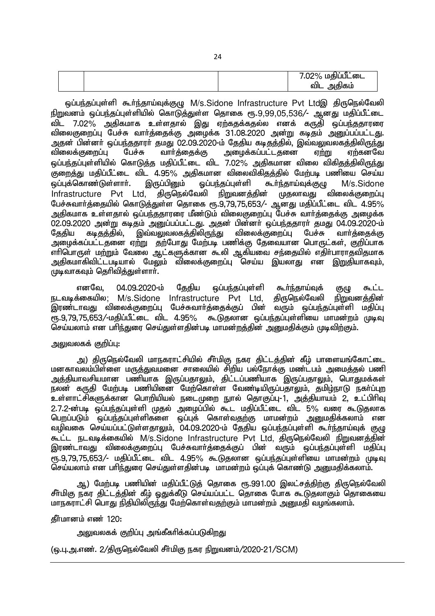|  | 7.02% மதிப்பீட்டை |
|--|-------------------|
|  | அதிகம்<br>விட     |

ஒப்பந்தப்புள்ளி கூர்ந்தாய்வுக்குழு M/s.Sidone Infrastructure Pvt Ltdஇ திருநெல்வேலி <u>நிறுவனம் ஒப்பந்தப்புள்ளியில் கொடுத்து</u>ள்ள தொகை ரூ.9,99,05,536/- ஆனது மதிப்பீட்டை ்<br>விட 7.02% அதிகமாக உள்ளதால் இது ஏற்கதக்கதல்ல எனக் கருதி ஒப்பந்ததாரரை விலைகுறைப்பு பேச்சு வார்த்தைக்கு அழைக்க 31.08.2020 அன்று கடிதம் அனுப்பப்பட்டது. <u>அ</u>தன் பின்னா் ஒப்பந்ததாரா் தமது O2.09.2020-ம் தேதிய கடிதத்தில், இவ்வலுவலகத்திலிருந்து விலைக்குறைப்பு பேச்சு வார்த்தைக்கு அழைக்கப்பட்டதனை ஏற்று ஏற்கனவே ஒப்பந்தப்புள்ளியில் கொடுத்த மதிப்பீட்டை விட 7.02% அதிகமான விலை விகிதத்திலிருந்து ,<br>குறைத்து மதிப்பீட்டை விட 4.95% அதிகமான விலைவிகிதத்தில் மேற்படி பணியை செய்ய<br>ஒப்புக்கொண்டுள்ளாா். இருப்பினும் ஒப்பந்தப்புள்ளி கூா்ந்தாய்வுக்குமு M/s.Sidone ஒப்புக்கொண்டுள்ளார். இருப்பினும் ஒப்பந்தப்புள்ளி கூர்ந்தாய்வுக்குமு M/s.Sidone  $Infra structure$  Pvt Ltd, கிருநெல்வேலி நிறுவனத்தின் முதலாவது விலைக்குறைப்பு பேச்சுவார்த்தையில் கொடுத்துள்ள தொகை ரூ.9,79,75,653/- ஆனது மதிப்பீட்டை விட 4.95% அதிகமாக உள்ளதால் ஒப்பந்ததாரரை மீண்டும் விலைகுறைப்ப<sup>ு</sup>பேச்சு வார்க்கைக்கு அமைக்க 02.09.2020 அன்று கடிதம் அனுப்பப்பட்டது. அதன் பின்னா் ஒப்பந்ததாரா் தமது 04.09.2020-ம்<br>தேதிய கடிதத்தில், இவ்வலுவலகத்திலிருந்து விலைக்குறைப்பு பேச்சு வாா்த்தைக்கு தேதிய கடிதத்தில், இவ்வலுவலகத்திலிருந்து விலைக்குறைப்பு பேச்சு வார்த்தைக்கு அழைக்கப்பட்டதனை ஏற்று தற்போது மேற்படி பணிக்கு தேவையான பொருட்கள், குறிப்பாக எாிபொருள் மற்றும் வேலை ஆட்களுக்கான கூலி ஆகியவை சந்தையில் எதிா்பாராதவிதமாக அதிகமாகிவிட்டபடியால் மேலும் விலைக்குறைப்பு செய்ய இயலாது என <u>இறு</u>தியாகவும்.  $\mu$ டிவாகவும் தெரிவிக்குள்ளார்.

எனவே, 04.09.2020-ம் தேதிய ஒப்பந்தப்புள்ளி கூர்ந்தாய்வுக் குழு கூட்ட நடவடிக்கையில; M/s.Sidone Infrastructure Pvt Ltd, கிருநெல்வேலி நிறுவனக்கின் இரண்டாவது விலைக்குறைப்பு பேச்சுவார்த்தைக்குப் பின் வரும் ஒப்பந்தப்புள்ளி மதிப்பு<br>ரூ.9.79.75.653/-மகிப்பீட்டை விட 4.95% கூடுகலான ஒப்பந்கப்பள்ளியை மாமன்றம் முடிவ கூடுுகலான ஒப்பந்தப்புள்ளியை மாமன்றம் முடிவு செய்யலாம் என பரிந்துரை செய்துள்ளதின்படி மாமன்றத்தின் அனுமதிக்கும் முடிவிற்கும்.

# <u>அலுவலகக் குறிப்பு:</u>

அ) திருநெல்வேலி மாநகராட்சியில் சீா்மிகு நகர திட்டக்கின் கீம் பாளையங்கோட்டை மனகாவலம்பிள்ளை மருத்துவமனை சாலையில் சிறிய பல்நோக்கு மண்ட்பம் அமைத்தல் பணி அத்தியாவசியமான பணியாக இருப்பதாலும், திட்டப்பணியாக இருப்பதாலும், பொதுமக்கள் நலன் கருதி மேற்படி பணியினை மேற்கொள்ள வேண்டியிருப்பதாலும், தமிழ்நாடு நகர்ப்புற உள்ளாட்சிகளுக்கான பொறியியல் நடைமுறை நுால் தொகுப்பு-1, அத்தியாயம் 2, உட்பிரிவு 2.7.2-ன்படி ஒப்பந்தப்புள்ளி முதல் அழைப்பில் கூட மதிப்பீட்டை விட 5% வரை கூடுதலாக <u>பெறப்படும் ஒப்பந்த</u>ப்புள்ளிகளை ஒப்புக் கொள்வதற்கு மாமன்றம் அனுமதிக்கலாம் என வழிவகை செய்யப்பட்டுள்ளதாலும், 04.09.2020-ம் தேதிய ஒப்பந்தப்புள்ளி கூர்ந்தாய்வுக் குழு கூட்ட நடவடிக்கையில் M/s.Sidone Infrastructure Pvt Ltd, திருநெல்வேலி நிறுவனத்தின் இரண்டாவது விலைக்குறைப்பு பேச்சுவார்த்தைக்குப் பின் வரும் ஒப்பந்தப்புள்ளி மதிப்பு  $\epsilon$ ஈந.9,79,75,653/- மகிப்பீட்டை விட 4.95% கூடுகுலான ஒப்பந்தப்புள்ளியை மாமன்றம் முடிவு செய்யலாம் என பரிந்துரை செய்துள்ளதின்படி மாமன்றம் ஒப்புக் கொண்டு அனுமதிக்கலாம்.

ஆ) மேற்படி பணியின் மதிப்பீட்டுத் தொகை ரூ.991.00 இலட்சத்திற்கு திருநெல்வேலி சீர்மிகு நகர திட்டத்தின் கீழ் ஒதுக்கீடு செய்யப்பட்ட தொகை போக கூடுதலாகும் தொகையை மாநகராட்சி பொது நிதியிலிருந்து மேற்கொள்வதற்கும் மாமன்றம் அனுமதி வழங்கலாம்.

### கீர்மானம் எண் $120:$

அலுவலகக் குறிப்பு அங்கீகரிக்கப்படுக<u>ிறத</u>ு

(டைப. அ.எண். 2/திருநெல்வேலி சீர்மிகு நகர நிறுவனம்/2020-21/SCM)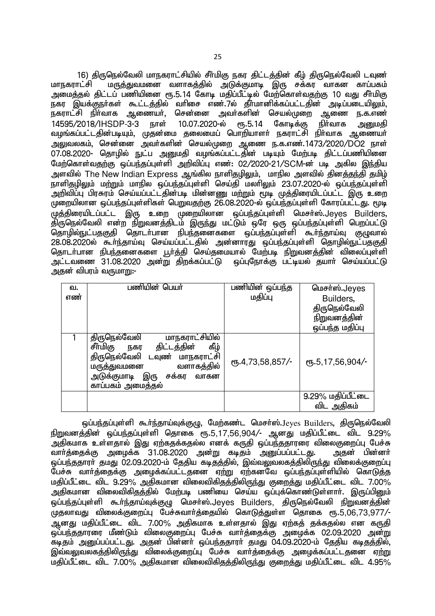25

16) திருநெல்வேலி மாநகராட்சியில் சீா்மிகு நகர திட்டத்தின் கீழ் திருநெல்வேலி டவுண்<br>மாநகாாட்சி மாத்துவமனை வளாகக்கில் அடுக்குமாடி இரு சக்கா வாகன காப்பகம் மருத்துவமனை வளாகத்தில் அடுக்குமாடி இரு சக்கர வாகன காப்பகம் ் முறைக்கல் கிட்டப் பணியினை ரூ.5.14 கோடி மகிப்பீட்டீல் மேற்கொள்வகற்கு 10 வகு சீர்மிகு ்கர இயக்குநா்கள் கூட்டத்தில் வாிசை எண்.7ல் தீா்மானிக்கப்பட்டதின் அடிப்படையிலும்,<br>நகராட்சி நிா்வாக ஆணையா், சென்னை அவா்களின் செயல்முறை ஆணை ந.க.எண் அவா்களின் செயல்முறை ஆணை ந.க.எண்<br>)-ல் ரூ.5.14 கோடிக்கு நிா்வாக <u>அனும</u>தி 14595/2018/IHSDP-3-3 நாள் 10.07.2020-ல் ரூ.5.14 கோடிக்கு நிர்வாக <u>அனு</u>மதி ்வழங்கப்பட்டதின்படியும், முதன்மை தலைமைப் பொறியாளா் நகராட்சி நிா்வாக ஆணையா் mYtyfk;> nrd;id mth;fspd; nray;Kiw Miz e.f.vz;.1473/2020/DO2 ehs; 07.08.2020- தொழில் நுட்ப அனுமதி வழங்கப்பட்டதின் படியும் மேற்படி திட்டப்பணியினை மேற்கொள்வதற்கு ஒப்பந்தப்புள்ளி அறிவிப்பு எண்: 02/2020-21/SCM-ன் படி அகில இந்திய அளவில் The New Indian Express ஆங்கில நாளிதமிலும். மாநில அளவில் கினக்குந்தி தமிம் நாளிதமிலும் மற்றும் மாநில ஒப்பந்தப்புள்ளி செய்தி மலரிலும் 23.07.2020-ல் ஒப்பந்தப்புள்ளி நாளத்தத்தும் மற்றும் மாதின் குட்டத்தட்டின்னணு மற்றும் மூடி முத்திரையிடப்பட்ட இரு உறை முறையிலான ஒப்பந்தப்புள்ளிகள் பெறுவதற்கு 26.08.2020-ல் ஒப்பந்தப்புள்ளி கோரப்பட்டது. மூடி  $\tilde{A}$ முத்திரையிடப்பட்ட இரு உறை முறையிலான ஒப்பந்தப்புள்ளி மெசா்ஸ்.Jeves Builders. ்பூத்து, பைப்பட்ட கு.மு உறை முறையமையை ஒப்பந்தப்பும்.<br>திருநெல்வேலி என்ற நிறுவனத்திடம் இருந்து மட்டும் ஒரே ஒரு ஒப்பந்தப்புள்ளி பெறப்பட்டு தொழில்நுட்பதகுதி தொடர்பான நிபந்தனைகளை ஒப்பந்தப்புள்ளி கூர்ந்தாய்வு குழுவால் ுதாழாவு——தகுதா அதாடாகான தாத்தணைகளை ஒட்டத்தட்டின் என்னாட்டும் ஒரு பெரும்.<br>28.08.2020ல் கூர்ந்தாய்வு செய்யப்பட்டதில் அன்னாரது ஒப்பந்தப்புள்ளி தொழில்நுட்பதகுதி தொடர்பான நிபந்தனைகளை பூர்த்தி செய்தமையால் மேற்படி நிறுவனத்தின் விலைப்புள்ளி அட்டவணை 31.08.2020 அன்று திறக்கப்பட்டு ஒப்புநோக்கு பட்டியல் தயார் செய்யப்பட்டு ்வுகுன் விபரம் வருமாறு:-

| வ.  | பணியின் பெயர்                                                                                                                                                                                      | பணியின் ஒப்பந்த  | மெசர்ஸ்.Jeyes                           |
|-----|----------------------------------------------------------------------------------------------------------------------------------------------------------------------------------------------------|------------------|-----------------------------------------|
| எண் |                                                                                                                                                                                                    | மதிப்பு          | Builders,                               |
|     |                                                                                                                                                                                                    |                  | திருநெல்வேலி                            |
|     |                                                                                                                                                                                                    |                  | <u>நிறுவனத்தின்</u>                     |
|     |                                                                                                                                                                                                    |                  | ஒப்பந்த மதிப்பு                         |
|     | மாநகராட்சியில்<br>திருநெல்வேலி<br>சீர்மிகு<br>கீழ்<br>திட்டத்தின்<br>நகர<br>திருநெல்வேலி டவுண் மாநகராட்சி<br>வளாகத்தில்<br>மருத்துவமனை<br>அடுக்குமாடி<br>இரு<br>சக்கர<br>வாகன<br>காப்பகம் அமைத்தல் | ღந.4,73,58,857/- | $\epsilon$ <sup>0</sup> 5.5,17,56,904/- |
|     |                                                                                                                                                                                                    |                  | $9.29\%$ மதிப்பீட்டை                    |
|     |                                                                                                                                                                                                    |                  | விட அதிகம்                              |

ஒப்பந்தப்புள்ளி கூர்ந்தாய்வுக்குழு, மேற்கண்ட மெசர்ஸ்.Jeves Builders, திருநெல்வேலி <u>நிறுவனத்தின் ஒப்பந்தப்பு</u>ள்ளி தொகை ரூ.5,17,56,904/- ஆனது மதிப்பீட்டை விட 9.29% .<br>அதிகமாக உள்ளதால் இது ஏற்கதக்கதல்ல எனக் கருதி ஒப்பந்ததாரரை விலைகுறைப்பு பேச்சு<br>வாா்த்தைக்கு அழைக்க 31.08.2020 அன்று கடிகம் அனுப்பப்பட்டது. அகன் பின்னா் ு...<br>வார்த்தைக்கு அழைக்க 31.08.2020 அன்று கடிதம் அனுப்பப்பட்டது. <u>ஓப்பந்ததாரர் தமது 02.09.2020-ம் தேதிய கடிதத்தில், இவ்வலுவலகத்திலிருந்து விலைக்குறைப்பு</u> .<br>பேச்சு வார்த்தைக்கு அழைக்கப்பட்டதனை ஏற்று ஏற்கனவே ஒப்பந்தப்புள்ளியில் கொடுத்த மகிப்பீட்டை விட 9.29% அதிகமான விலைவிகிதத்திலிருந்து குறைத்து மதிப்பீட்டை விட 7.00% அதிகமான விலைவிகிதத்தில் மேற்படி பணியை செய்ய ஒப்புக்கொண்டுள்ளார். இருப்பினும் ஒப்பந்தப்புள்ளி கூர்ந்தாய்வுக்குழு மெசர்ஸ்.Jeyes Builders, திருநெல்வேலி நிறுவனத்தின் முதலாவது விலைக்குறைப்பு பேச்சுவார்த்தையில் கொடுத்துள்ள தொகை ரூ.5,06,73,977/-அனது மதிப்பீட்டை விட 7.00% அதிகமாக உள்ளதால் இது ஏற்கத் தக்கதல்ல என கருதி xg;ge;jjhuiu kPz;Lk; tpiyFiwg;G Ngr;R thh;j;ijf;F miof;f 02.09.2020 md;W .<br>கடிதம் அனுப்பப்பட்டது. அதன் பின்னா் ஒப்பந்ததாரா் தமது 04.09.2020-ம் தேதிய கடிதத்தில், ,<br>இவ்வலுவலகத்திலிருந்து விலைக்குறைப்பு பேச்சு வார்த்தைக்கு அழைக்கப்பட்டதனை ஏற்று மதிப்பீட்டை விட 7.00% அதிகமான விலைவிகிதத்திலிருந்து குறைத்து மதிப்பீட்டை விட 4.95%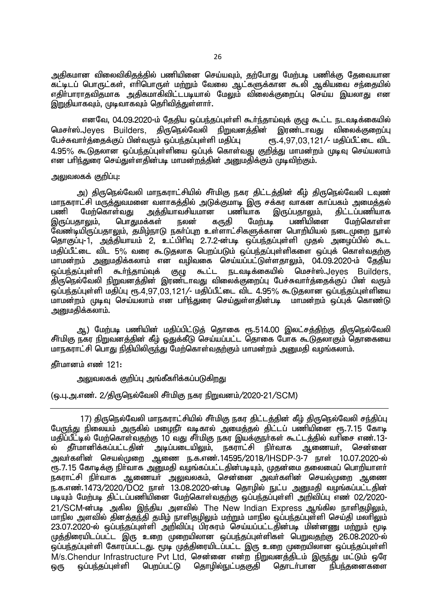அதிகமான விலைவிகிதத்தில் பணியினை செய்யவும், தற்போது மேற்படி பணிக்கு தேவையான கட்டிடப் பொருட்கள், எரிபொருள் மற்றும் வேலை ஆட்களுக்கான கூலி ஆகியவை சந்தையில் எகிா்பாராகவிதமாக அகிகமாகிவிட்டபடியால் மேலும் விலைக்குறைப்பு செய்ய இயலாது என இறுதியாகவும், முடிவாகவும் தெரிவித்துள்ளார். Ĭ

எனவே, 04.09.2020-ம் தேதிய ஒப்பந்தப்புள்ளி கூர்ந்தாய்வுக் குழு கூட்ட நடவடிக்கையில் மெசா்ஸ்.Jeyes Builders, திருநெல்வேலி நிறுவனத்தின் இரண்டாவது விலைக்குறைப்பு<br>பேச்சுவாா்க்கைக்குப்பின்வரும் ஒப்பந்தப்புள்ளி மகிப்பு ரூ.4.97.03.121/- மகிப்பீட்டை விட பேச்சுவார்த்தைக்குப் பின்வரும் ஒப்பந்தப்புள்ளி மதிப்பு 4.95% கூடுகலான ஓப்பந்தப்புள்ளியை ஓப்புக் கொள்வது குறித்து மாமன்றம் முடிவு செய்யலாம் என பரிந்துரை செய்துள்ளதின்படி மாமன்றத்தின் அறையதிக்கும் முடிவிற்கும்.

### அலுவலகக் குறிப்பு:

அ) திருநெல்வேலி மாநகராட்சியில் சீா்மிகு நகர திட்டத்தின் கீழ் திருநெல்வேலி டவுண் மாநகராட்சி மருத்துவமனை வளாகத்தில் அடுக்குமாடி இரு சக்கர வாகன காப்பகம் அமைத்தல்<br>பணி மேற்கொள்வது அத்தியாவசியமான பணியாக இருப்பதாலும். திட்டப்பணியாக அத்தியாவசியமான பணியாக இருப்பதாலும், திட்டப்பணியாக<br>க்கள் நலன் காகி மேற்படி பணியினை மேற்கொள்ள இருப்பதாலும், பொதுமக்கள் நலன் கருதி மேற்படி ீவண்டியிருப்பதாலும், தமிழ்நாடு நகர்ப்புற உள்ளாட்சிகளுக்கான பொறியியல் நடைமுறை நூல் தொகுப்பு-1, அத்தியாயம் 2, உட்பிரிவு 2.7.2-ன்படி ஒப்பந்தப்புள்ளி முதல் அழைப்பில் கூட மதிப்பீட்டை விட 5% வரை கூடுதலாக பெறப்படும் ஒப்பந்தப்புள்ளிகளை ஒப்புக் கொள்வதற்கு மாமன்றம் அனுமதிக்கலாம் என வழிவகை செய்யப்பட்டுள்ளதாலும், 04.09.2020-ம் தேதிய<br>ஒப்பந்தப்புள்ளி கூா்ந்தாய்வுக் குழு கூட்ட நடவடிக்கையில் மெசா்ஸ்.Jeves Builders. லப்பந்தப்புள்ளி கூர்ந்தாய்வுக் குமு கூட்ட நடவடிக்கையில் மெசர்ஸ்.Jeves Builders, திருநெல்வேலி நிறுவனத்தின் இரண்டாவது விலைக்குறைப்பு பேச்சுவார்த்தைக்குப் பின் வரும்  $\tilde{\omega}$ ப்பந்தப்புள்ளி மதிப்பு ரூ.4,97,03,121/- மதிப்பீட்டை விட 4.95% கூடுதலான ஒப்பந்தப்புள்ளியை .<br>மாமன்றம் முடிவு செய்யலாம் என பரிந்துரை செய்துள்ளதின்படி மாமன்றம் ஒப்புக் கொண்டு அனுமதிக்கலாம்.

ஆ) மேற்படி பணியின் மதிப்பிட்டுத் தொகை ரூ.514.00 இலட்சத்திற்கு திருநெல்வேலி சீர்மிகு நகர நிறுவனத்தின் கீழ் ஓதுக்கீடு செய்யப்பட்ட தொகை போக கூடுதலாகும் தொகையை மாநகராட்சி பொது நிதியிலிருந்து மேற்கொள்வதற்கும் மாமன்றம் அறுமதி வழங்கலாம்.

கீர்மானம் எண் $121$ :

அலுவலகக் குறிப்பு அங்கீகாிக்கப்படுகிறது

(ஒ.பு.அ.எண். 2/திருநெல்வேலி சீர்மிகு நகர நிறுவனம்/2020-21/SCM)

17) திருநெல்வேலி மாநகராட்சியில் சீர்மிகு நகர திட்டத்தின் கீழ் திருநெல்வேலி சந்திப்பு பேருந்து நிலையம் அருகில் மழைநீர் வடிகால் அமைத்தல் திட்டப் பணியினை ரூ. 7.15 கோடி மதிப்பீட்டில் மேற்கொள்வதற்கு 10 வது சீா்மிகு நகர இயக்குநா்கள் கூட்டத்தில் வாிசை எண்.13-<br>ல் தீா்மானிக்கப்பட்டதின் அடிப்படையிலும், நகராட்சி நிா்வாக ஆணையா், சென்னை ல் கீா்மானிக்கப்பட்டகின் <u>அ</u>வர்களின் செயல்முறை ஆணை ந.க.எண்.14595/2018/IHSDP-3-7 நாள் 10.07.2020-ல் ு.<br>ரூ.7.15 கோடிக்கு நிா்வாக அனுமதி வழங்கப்பட்டதின்படியும், முதன்மை தலைமைப் பொறியாளா் .<br>நகராட்சி நிர்வாக ஆணையர் அலுவலகம், சென்னை அவர்களின் செயல்முறை ஆணை ந.க.எண்.1473/2020/DO2 நாள் 13.08.2020-ன்படி தொழில் நுட்ப அனுமதி வழங்கப்பட்டதின் படியும் மேற்படி திட்டப்பணியினை மேற்கொள்வதற்கு ஒப்பந்தப்புள்ளி அறிவிப்பு எண் 02/2020-21/SCM-ன்படி அகில இந்திய அளவில் The New Indian Express ஆங்கில நாளிதமிலும். மாநில அளவில் கினக்குந்தி கமிம் நாளிகமிலும் மற்றும் மாநில ஓப்பந்தப்புள்ளி செய்கி மலாிலும்  $23.07.2020$ -ல் ஒப்பந்தப்புள்ளி அறிவிப்பு பிரசுரம் செய்யப்பட்டதின்படி மின்னணு மற்றும் மூடி முத்திரையிடப்பட்ட இரு உறை முறையிலான ஒப்பந்தப்புள்ளிகள் பெறுவதற்கு 26.08.2020-ல் ு;<br>ஒப்பந்தப்புள்ளி கோரப்பட்டது. மூடி முத்திரையிடப்பட்ட இரு உறை முறையிலான ஒப்பந்தப்புள்ளி M/s.Chendur Infrastructure Pvt Ltd, சென்னை என்ற நிறுவனத்திடம் இருந்து மட்டும் ஒரே<br>ஒரு ஒப்பந்தப்புள்ளி பெறப்பட்டு கொமில்நுட்பதகுதி கொடர்பான நிபந்தனைகளை <u>ஒரு ஒப்பந்த</u>ப்புள்ளி பெறப்பட்டு தொழில்நுட்பதகுதி தொடர்பான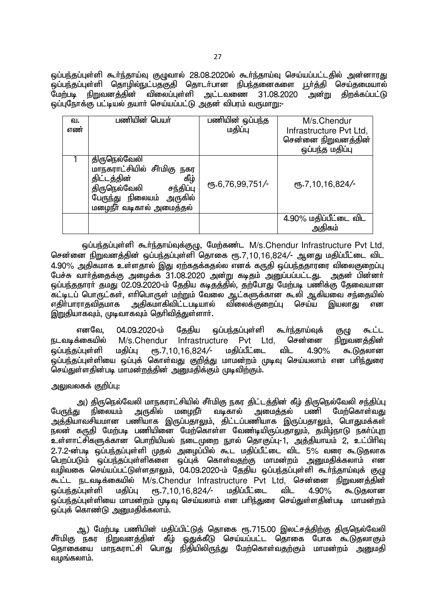ஒப்பந்தப்புள்ளி கூா்ந்தாய்வு குழுவால் 28.08.2020ல் கூா்ந்தாய்வு செய்யப்பட்டதில் அ<mark>ன்னாரது</mark><br>ஓப்பந்தப்புள்ளி தொமில்நுட்பதுகுதி தொடா்பான நிபந்தனைகளை பூா்த்தி செய்தமையால் .<br>ஒப்பந்தப்புள்ளி தொழில்நுட்பதகுதி தொடா்பான நிபந்தனைகளை பூா்த்தி செய்தமையால்<br>மோ்படி நிறுவனக்கின் விலைப்புள்ளி அட்டவணை 31.08.2020 அன்று கிறக்கப்பட்டு ்நிறுவனக்கின் விலைப்பள்ளி அட்டவணை 31.08.2020 <u>ஒப்புநோக்கு பட்டியல் த</u>யாா் செய்யப்பட்டு அதன் விபரம் வருமாறு:-

| வ.<br>எண் | பணியின் பெயர்                                                                                                                                           | பணியின் ஒப்பந்த<br>மதிப்பு | M/s.Chendur<br>Infrastructure Pvt Ltd,<br>சென்னை நிறுவனத்தின் |
|-----------|---------------------------------------------------------------------------------------------------------------------------------------------------------|----------------------------|---------------------------------------------------------------|
|           |                                                                                                                                                         |                            | ஒப்பந்த மதிப்பு                                               |
|           | திருநெல்வேலி<br>மாநகராட்சியில் சீர்மிகு நகர<br>கீழ்<br>திட்டத்தின்<br>திருநெல்வேலி<br>சந்திப்பு<br>பேருந்து நிலையம் அருகில்<br>மழைநீர் வடிகால் அமைத்தல் | $\frac{6,6,76,99,751}{-}$  | $\epsilon$ <sup>0</sup> 5.7, 10, 16, 824/-                    |
|           |                                                                                                                                                         |                            | 4.90% மதிப்பீட்டை விட<br>அகிகம்                               |
|           |                                                                                                                                                         |                            |                                                               |

ஒப்பந்தப்புள்ளி கூர்ந்தாய்வுக்குழு, மேற்கண்ட M/s.Chendur Infrastructure Pvt Ltd, சென்னை நிறுவனத்தின் ஒப்பந்தப்புள்ளி தொகை ரூ.7,10,16,824/- ஆனது மதிப்பீட்டை விட 4.90% அதிகமாக உள்ளதால் இது ஏற்கதக்கதல்ல எனக் கருதி ஒப்பந்ததாரரை விலைகுறைப்பு பேச்சு வார்த்தைக்கு அழைக்க 31.08.2020 அன்று கடிதம் அனுப்பப்பட்டது. அதன் பின்னர் ் ஒப்பந்ததாார் தமது 02.09.2020-ம் தேதிய கடித்தில், தற்போது மேற்படி பணிக்கு கேவையான fl;blg; nghUl;fs;> vhpnghUs; kw;Wk; Ntiy Ml;fSf;fhd \$yp Mfpait re;ijapy; ்விலைக்குறைப்ப செய்ய இயலாகு என இறுதியாகவும், முடிவாகவும் தெரிவித்துள்ளார்.

எனவே, 04.09.2020-ம் தேதிய ஒப்பந்தப்புள்ளி கூர்ந்தாய்வுக் குழு கூட்ட<br>க்கையில் M/s.Chendur Infrastructure Pvt Ltd. சென்னை <u>நிறுவனத்தி</u>ன் நடவடிக்கையில் M/s.Chendur Infrastructure  $\tilde{\omega}$ ப்பந்தப்புள்ளி மதிப்பு ரூ.7,10,16,824/- மதிப்பீட்டை விட 4.90% கூடுதலான .<br>ஒப்பந்தப்புள்ளியை ஒப்புக் கொள்வது குறித்து மாமன்றம் முடிவு செய்யலாம் என பரிந்துரை செய்துள்ளதின்படி மாமன்றத்தின் அனுமதிக்கும் முடிவிற்கும்.

## அலுவலகக் குறிப்பு:

بان) திருநெல்வேலி மாநகராட்சியில் சீா்மிகு நகர திட்டத்தின் கீழ் திருநெல்வேலி சந்திப்பு<br>பேருந்து நிலையம் அருகில் மழைநீா வடிகால் அமைத்தல் பணி மேற்கொள்வது மேற்கொள்வது அத்தியாவசியமான பணியாக இருப்பதாலும், திட்டப்பணியாக இருப்பதாலும், பொதுமக்கள் .......<br>நலன் கருதி மேற்படி பணியினை மேற்கொள்ள வேண்டியிருப்பதாலும், தமிழ்நாடு நகா்ப்புற உள்ளாட்சிகளுக்கான பொறியியல் நடைமுறை நூல் தொகுப்பு-1, அத்தியாயம் 2, உட்பிரிவு 2.7.2-ன்படி ஒப்பந்தப்புள்ளி முதல் அழைப்பில் கூட மதிப்பீட்டை விட 5% வரை கூடுதலாக பெறப்படும் ஒப்பந்தப்புள்ளிகளை ஒப்புக் கொள்வதற்கு மாமன்றம் அனுமதிக்கலாம் என வழிவகை செய்யப்பட்டுள்ளதாலும், 04.09.2020-ம் தேதிய ஒப்பந்தப்புள்ளி கூர்ந்தாய்வுக் குழு கூட்ட நடவடிக்கையில் M/s.Chendur Infrastructure Pvt Ltd, சென்னை நிறுவனத்தின்  $\tilde{\omega}$ ப்பந்தப்புள்ளி மதிப்பு ரூ.7,10,16,824/- மதிப்பீட்டை விட 4.90% கூடுதலான .<br>ஒப்பந்தப்புள்ளியை மாமன்றம் முடிவு செய்யலாம் என பரிந்துரை செய்துள்ளதின்படி மாமன்றம்  $\tilde{\bm{\omega}}$ ப்பக் கொண்டு அமைகிக்கலாம்.

ஆ) மேற்படி பணியின் மதிப்பிட்டுத் தொகை ரூ.715.00 இலட்சத்திற்கு திருநெல்வேலி சீர்மிகு நகர நிறுவனத்தின் கீழ் ஓதுக்கீடு செய்யப்பட்ட தொகை போக கூடுதலாகும் தொகையை மாநகராட்சி பொது நிதியிலிருந்து மேற்கொள்வதற்கும் மாமன்றம் அறையதி வழங்கலாம். $\overline{\phantom{a}}$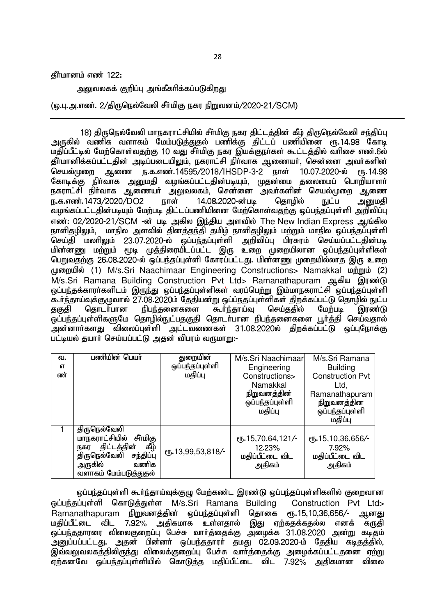கீர்மானம் எண் $122$ :

அலுவலகக் குறிப்பு அங்கீகரிக்கப்படுக<u>ிறது</u>

(ஒ.பு.அ.எண். 2/திருநெல்வேலி சீர்மிகு நகர நிறுவனம்/2020-21/SCM)

18) திருநெல்வேலி மாநகராட்சியில் சீர்மிகு நகர திட்டத்தின் கீழ் திருநெல்வேலி சந்திப்பு அருகில் வணிக வளாகம் மேம்படுத்துதல் பணிக்கு திட்டப் பணியினை ரூ.14.98 கோடி மதிப்பீட்டில் மேற்கொள்வதற்கு 10 வது சீர்மிகு நகர இயக்குநர்கள் கூட்டத்தில் வரிசை எண்.6ல் தீர்மானிக்கப்பட்டதின் அடிப்படையிலும், நகராட்சி நிர்வாக ஆணையர், சென்னை அவர்களின் செயல்முறை ஆணை ந.க.எண்.14595/2018/IHSDP-3-2 நாள் 10.07.2020-ல் ரூ.14.98 கோடிக்கு நிா்வாக அனுமதி வழங்கப்பட்டதின்படியும், முதன்மை தலைமைப் பொறியாளா் நகராட்சி நிா்வாக ஆணையா் அலுவலகம், சென்னை அவா்களின் செயல்முறை ஆணை ந.க.எண்.1473/2020/DO2 நாள் 14.08.2020-ன்படி தொழில் நுட்ப அறுமதி வழங்கப்பட்டதின்படியும் மேற்படி திட்டப்பணியினை மேற்கொள்வதற்கு ஒப்பந்தப்புள்ளி அறிவிப்பு எண்: 02/2020-21/SCM -ன் படி அகில இந்திய அளவில் The New Indian Express ஆங்கில நாளிதமிலும், மாநில அளவில் தினக்குந்தி தமிழ் நாளிதமிலும் மற்றும் மாநில ஒப்பந்தப்புள்ளி செய்தி மலரிலும் 23.07.2020-ல் ஒப்பந்தப்புள்ளி அறிவிப்பு பிரசுரம் செய்யப்பட்டதின்படி <u>மின்னணு மற்று</u>ம் மூடி முத்திரையிடப்பட்ட இரு உறை முறையிலான ஒப்பந்தப்புள்ளிகள் பெறுவதற்கு 26.08.2020-ல் ஒப்பந்தப்புள்ளி கோரப்பட்டது. மின்னணு முறையில்லாத இரு உறை முறையில் (1) M/s.Sri Naachimaar Engineering Constructions> Namakkal மற்றும் (2) M/s.Sri Ramana Building Construction Pvt Ltd> Ramanathapuram ஆகிய இரண்டு <u>ஒ</u>ப்பந்தக்காரா்களிடம் இருந்து ஒப்பந்தப்புள்ளிகள் வரப்பெற்று இம்மாநகராட்சி ஒப்பந்தப்புள்ளி \$h;e;jha;Tf;FOthy; 27.08.2020k; Njjpad;W xg;g;ejg;Gs;spfs; jpwf;fg;gl;L njhopy; El;g தகுதி தொடா்பான நிபந்தனைகளை கூா்ந்தாய்வு செய்ததில் மேற்படி இரண்டு <u>ஒப்பந்த</u>ப்புள்ளிகளுமே தொழில்நுட்பதகுதி தொடர்பான நிபந்தனைகளை பூர்த்தி செய்வதால் .<br>அன்னார்களது விலைப்புள்ளி அட்டவணைகள் 31.08.2020ல் திறக்கப்பட்டு ஒப்புநோக்கு பட்டியல் தயார் செய்யப்பட்டு அதன் விபரம் வருமாறு:-

| வ. | பணியின் பெயா்              | துறையின்           | M/s.Sri Naachimaar  | M/s.Sri Ramana          |
|----|----------------------------|--------------------|---------------------|-------------------------|
| 6Т |                            | ஒப்பந்தப்புள்ளி    | Engineering         | <b>Building</b>         |
| ண் |                            | மதிப்பு            | Constructions>      | <b>Construction Pvt</b> |
|    |                            |                    | Namakkal            | Ltd,                    |
|    |                            |                    | <u>நிறுவனத்தின்</u> | Ramanathapuram          |
|    |                            |                    | ஒப்பந்தப்புள்ளி     | நிறுவனத்தின             |
|    |                            |                    | மதிப்பு             | ஒப்பந்தப்புள்ளி         |
|    |                            |                    |                     | மதிப்பு                 |
|    | திருநெல்வேலி               |                    |                     |                         |
|    | மாநகராட்சியில்<br>சீர்மிகு |                    | ரூ.15,70,64,121/-   | ரூ.15,10,36,656/-       |
|    | கீழ்<br>திட்டத்தின்<br>நகர | ரு. 13,99,53,818/- | 12.23%              | 7.92%                   |
|    | திருநெல்வேலி<br>சந்திப்பு  |                    | மதிப்பீட்டை விட     | மதிப்பீட்டை விட         |
|    | வணிக<br>அருகில்            |                    | அதிகம்              | அதிகம்                  |
|    | வளாகம் மேம்படுத்துதல்      |                    |                     |                         |

ஒப்பந்தப்புள்ளி கூர்ந்தாய்வுக்குழு மேற்கண்ட இரண்டு ஒப்பந்தப்புள்ளிகளில் குறைவான xg;ge;jg;Gs;sp nfhLj;Js;s M/s.Sri Ramana Building Construction Pvt Ltd> Ramanathapuram நிறுவனத்தின் ஒப்பந்தப்புள்ளி தொகை ரூ.15,10,36,656/- ஆனது மதிப்பீட்டை விட 7.92% அதிகமாக உள்ளதால் இது ஏற்கதக்கதல்ல எனக் கருதி <u>ஓப்பந்ததாரரை விலைகுறைப்பு பேச்சு வார்த்தைக்கு அழைக்க 31.08.2020 அன்று கடிதம்</u> ு நாட்டம்.<br>அனுப்பப்பட்டது. அதன் பின்னா் ஒப்பந்ததாரா் தமது 02.09.2020-ம் தேதிய கடிதத்தில், இவ்வலுவலகத்திலிருந்து விலைக்குறைப்பு பேச்சு வார்க்கைக்கு அமைக்கப்பட்டதனை ஏற்று  $\overline{\mathfrak{g}}$ ற்கனவே ஒப்பந்தப்புள்ளியில் கொடுத்த மதிப்பீட்டை விட 7.92 $\%$  அதிகமான விலை